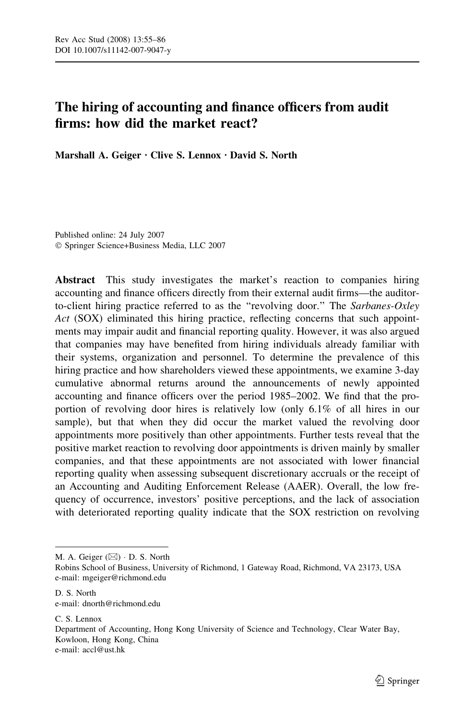# The hiring of accounting and finance officers from audit firms: how did the market react?

Marshall A. Geiger  $\cdot$  Clive S. Lennox  $\cdot$  David S. North

Published online: 24 July 2007 Springer Science+Business Media, LLC 2007

Abstract This study investigates the market's reaction to companies hiring accounting and finance officers directly from their external audit firms—the auditorto-client hiring practice referred to as the "revolving door." The Sarbanes-Oxley Act (SOX) eliminated this hiring practice, reflecting concerns that such appointments may impair audit and financial reporting quality. However, it was also argued that companies may have benefited from hiring individuals already familiar with their systems, organization and personnel. To determine the prevalence of this hiring practice and how shareholders viewed these appointments, we examine 3-day cumulative abnormal returns around the announcements of newly appointed accounting and finance officers over the period 1985–2002. We find that the proportion of revolving door hires is relatively low (only 6.1% of all hires in our sample), but that when they did occur the market valued the revolving door appointments more positively than other appointments. Further tests reveal that the positive market reaction to revolving door appointments is driven mainly by smaller companies, and that these appointments are not associated with lower financial reporting quality when assessing subsequent discretionary accruals or the receipt of an Accounting and Auditing Enforcement Release (AAER). Overall, the low frequency of occurrence, investors' positive perceptions, and the lack of association with deteriorated reporting quality indicate that the SOX restriction on revolving

M. A. Geiger  $(\boxtimes) \cdot$  D. S. North

Robins School of Business, University of Richmond, 1 Gateway Road, Richmond, VA 23173, USA e-mail: mgeiger@richmond.edu

D. S. North e-mail: dnorth@richmond.edu

C. S. Lennox Department of Accounting, Hong Kong University of Science and Technology, Clear Water Bay, Kowloon, Hong Kong, China e-mail: accl@ust.hk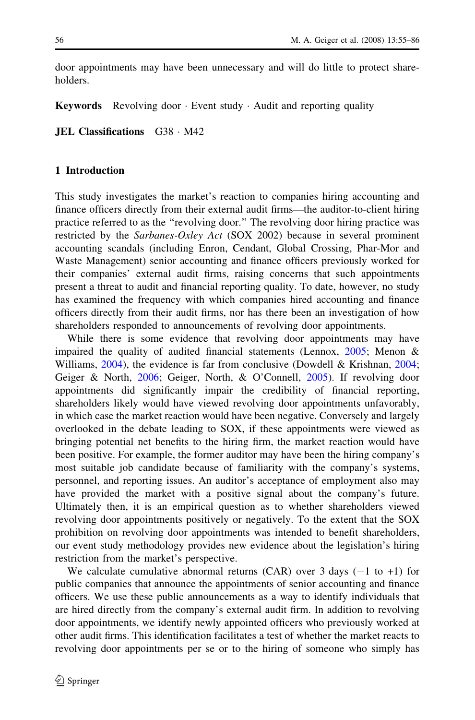door appointments may have been unnecessary and will do little to protect shareholders.

**Keywords** Revolving door  $\cdot$  Event study  $\cdot$  Audit and reporting quality

JEL Classifications G38 · M42

# 1 Introduction

This study investigates the market's reaction to companies hiring accounting and finance officers directly from their external audit firms—the auditor-to-client hiring practice referred to as the ''revolving door.'' The revolving door hiring practice was restricted by the Sarbanes-Oxley Act (SOX 2002) because in several prominent accounting scandals (including Enron, Cendant, Global Crossing, Phar-Mor and Waste Management) senior accounting and finance officers previously worked for their companies' external audit firms, raising concerns that such appointments present a threat to audit and financial reporting quality. To date, however, no study has examined the frequency with which companies hired accounting and finance officers directly from their audit firms, nor has there been an investigation of how shareholders responded to announcements of revolving door appointments.

While there is some evidence that revolving door appointments may have impaired the quality of audited financial statements (Lennox,  $2005$ ; Menon & Williams, [2004\)](#page-31-0), the evidence is far from conclusive (Dowdell & Krishnan, [2004;](#page-30-0) Geiger & North, [2006](#page-31-0); Geiger, North, & O'Connell, [2005\)](#page-31-0). If revolving door appointments did significantly impair the credibility of financial reporting, shareholders likely would have viewed revolving door appointments unfavorably, in which case the market reaction would have been negative. Conversely and largely overlooked in the debate leading to SOX, if these appointments were viewed as bringing potential net benefits to the hiring firm, the market reaction would have been positive. For example, the former auditor may have been the hiring company's most suitable job candidate because of familiarity with the company's systems, personnel, and reporting issues. An auditor's acceptance of employment also may have provided the market with a positive signal about the company's future. Ultimately then, it is an empirical question as to whether shareholders viewed revolving door appointments positively or negatively. To the extent that the SOX prohibition on revolving door appointments was intended to benefit shareholders, our event study methodology provides new evidence about the legislation's hiring restriction from the market's perspective.

We calculate cumulative abnormal returns  $(CAR)$  over 3 days  $(-1 \text{ to } +1)$  for public companies that announce the appointments of senior accounting and finance officers. We use these public announcements as a way to identify individuals that are hired directly from the company's external audit firm. In addition to revolving door appointments, we identify newly appointed officers who previously worked at other audit firms. This identification facilitates a test of whether the market reacts to revolving door appointments per se or to the hiring of someone who simply has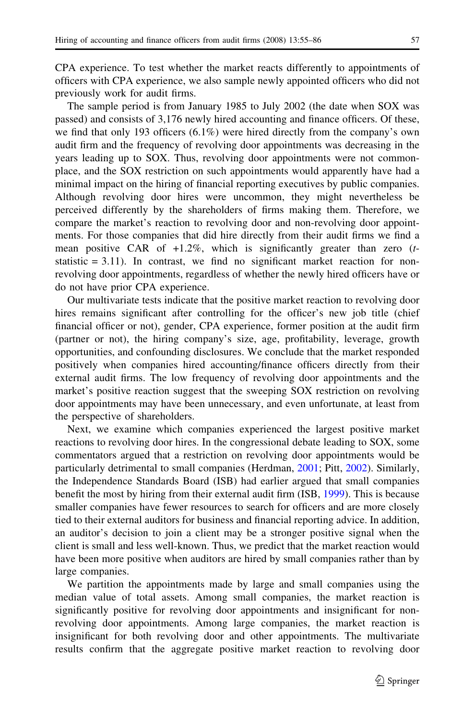CPA experience. To test whether the market reacts differently to appointments of officers with CPA experience, we also sample newly appointed officers who did not previously work for audit firms.

The sample period is from January 1985 to July 2002 (the date when SOX was passed) and consists of 3,176 newly hired accounting and finance officers. Of these, we find that only 193 officers (6.1%) were hired directly from the company's own audit firm and the frequency of revolving door appointments was decreasing in the years leading up to SOX. Thus, revolving door appointments were not commonplace, and the SOX restriction on such appointments would apparently have had a minimal impact on the hiring of financial reporting executives by public companies. Although revolving door hires were uncommon, they might nevertheless be perceived differently by the shareholders of firms making them. Therefore, we compare the market's reaction to revolving door and non-revolving door appointments. For those companies that did hire directly from their audit firms we find a mean positive CAR of  $+1.2\%$ , which is significantly greater than zero (tstatistic  $= 3.11$ ). In contrast, we find no significant market reaction for nonrevolving door appointments, regardless of whether the newly hired officers have or do not have prior CPA experience.

Our multivariate tests indicate that the positive market reaction to revolving door hires remains significant after controlling for the officer's new job title (chief financial officer or not), gender, CPA experience, former position at the audit firm (partner or not), the hiring company's size, age, profitability, leverage, growth opportunities, and confounding disclosures. We conclude that the market responded positively when companies hired accounting/finance officers directly from their external audit firms. The low frequency of revolving door appointments and the market's positive reaction suggest that the sweeping SOX restriction on revolving door appointments may have been unnecessary, and even unfortunate, at least from the perspective of shareholders.

Next, we examine which companies experienced the largest positive market reactions to revolving door hires. In the congressional debate leading to SOX, some commentators argued that a restriction on revolving door appointments would be particularly detrimental to small companies (Herdman, [2001](#page-31-0); Pitt, [2002\)](#page-31-0). Similarly, the Independence Standards Board (ISB) had earlier argued that small companies benefit the most by hiring from their external audit firm (ISB, [1999](#page-31-0)). This is because smaller companies have fewer resources to search for officers and are more closely tied to their external auditors for business and financial reporting advice. In addition, an auditor's decision to join a client may be a stronger positive signal when the client is small and less well-known. Thus, we predict that the market reaction would have been more positive when auditors are hired by small companies rather than by large companies.

We partition the appointments made by large and small companies using the median value of total assets. Among small companies, the market reaction is significantly positive for revolving door appointments and insignificant for nonrevolving door appointments. Among large companies, the market reaction is insignificant for both revolving door and other appointments. The multivariate results confirm that the aggregate positive market reaction to revolving door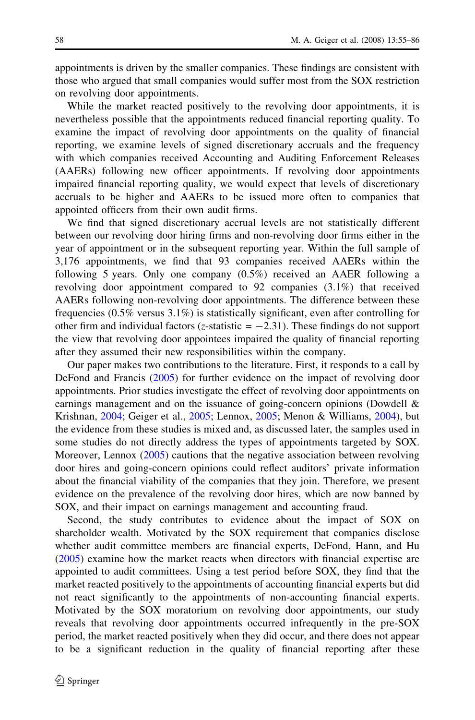appointments is driven by the smaller companies. These findings are consistent with those who argued that small companies would suffer most from the SOX restriction on revolving door appointments.

While the market reacted positively to the revolving door appointments, it is nevertheless possible that the appointments reduced financial reporting quality. To examine the impact of revolving door appointments on the quality of financial reporting, we examine levels of signed discretionary accruals and the frequency with which companies received Accounting and Auditing Enforcement Releases (AAERs) following new officer appointments. If revolving door appointments impaired financial reporting quality, we would expect that levels of discretionary accruals to be higher and AAERs to be issued more often to companies that appointed officers from their own audit firms.

We find that signed discretionary accrual levels are not statistically different between our revolving door hiring firms and non-revolving door firms either in the year of appointment or in the subsequent reporting year. Within the full sample of 3,176 appointments, we find that 93 companies received AAERs within the following 5 years. Only one company (0.5%) received an AAER following a revolving door appointment compared to 92 companies (3.1%) that received AAERs following non-revolving door appointments. The difference between these frequencies (0.5% versus 3.1%) is statistically significant, even after controlling for other firm and individual factors (*z*-statistic  $= -2.31$ ). These findings do not support the view that revolving door appointees impaired the quality of financial reporting after they assumed their new responsibilities within the company.

Our paper makes two contributions to the literature. First, it responds to a call by DeFond and Francis ([2005\)](#page-30-0) for further evidence on the impact of revolving door appointments. Prior studies investigate the effect of revolving door appointments on earnings management and on the issuance of going-concern opinions (Dowdell & Krishnan, [2004](#page-30-0); Geiger et al., [2005;](#page-31-0) Lennox, [2005;](#page-31-0) Menon & Williams, [2004\)](#page-31-0), but the evidence from these studies is mixed and, as discussed later, the samples used in some studies do not directly address the types of appointments targeted by SOX. Moreover, Lennox ([2005\)](#page-31-0) cautions that the negative association between revolving door hires and going-concern opinions could reflect auditors' private information about the financial viability of the companies that they join. Therefore, we present evidence on the prevalence of the revolving door hires, which are now banned by SOX, and their impact on earnings management and accounting fraud.

Second, the study contributes to evidence about the impact of SOX on shareholder wealth. Motivated by the SOX requirement that companies disclose whether audit committee members are financial experts, DeFond, Hann, and Hu [\(2005](#page-30-0)) examine how the market reacts when directors with financial expertise are appointed to audit committees. Using a test period before SOX, they find that the market reacted positively to the appointments of accounting financial experts but did not react significantly to the appointments of non-accounting financial experts. Motivated by the SOX moratorium on revolving door appointments, our study reveals that revolving door appointments occurred infrequently in the pre-SOX period, the market reacted positively when they did occur, and there does not appear to be a significant reduction in the quality of financial reporting after these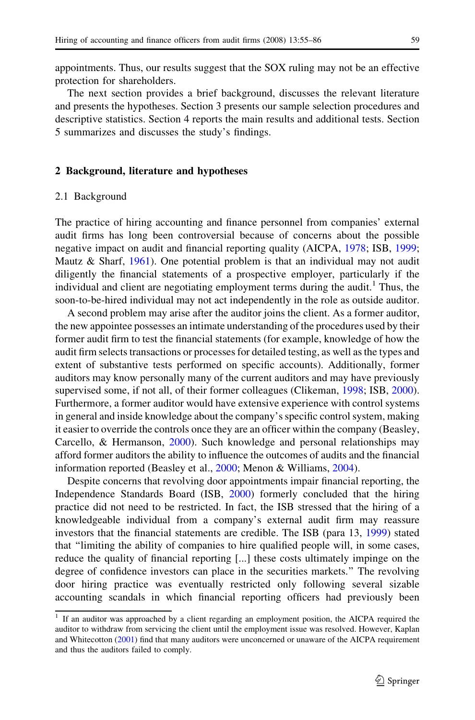appointments. Thus, our results suggest that the SOX ruling may not be an effective protection for shareholders.

The next section provides a brief background, discusses the relevant literature and presents the hypotheses. Section 3 presents our sample selection procedures and descriptive statistics. Section 4 reports the main results and additional tests. Section 5 summarizes and discusses the study's findings.

## 2 Background, literature and hypotheses

# 2.1 Background

The practice of hiring accounting and finance personnel from companies' external audit firms has long been controversial because of concerns about the possible negative impact on audit and financial reporting quality (AICPA, [1978;](#page-30-0) ISB, [1999;](#page-31-0) Mautz & Sharf, [1961](#page-31-0)). One potential problem is that an individual may not audit diligently the financial statements of a prospective employer, particularly if the individual and client are negotiating employment terms during the audit.<sup>1</sup> Thus, the soon-to-be-hired individual may not act independently in the role as outside auditor.

A second problem may arise after the auditor joins the client. As a former auditor, the new appointee possesses an intimate understanding of the procedures used by their former audit firm to test the financial statements (for example, knowledge of how the audit firm selects transactions or processes for detailed testing, as well as the types and extent of substantive tests performed on specific accounts). Additionally, former auditors may know personally many of the current auditors and may have previously supervised some, if not all, of their former colleagues (Clikeman, [1998](#page-30-0); ISB, [2000\)](#page-31-0). Furthermore, a former auditor would have extensive experience with control systems in general and inside knowledge about the company's specific control system, making it easier to override the controls once they are an officer within the company (Beasley, Carcello, & Hermanson, [2000\)](#page-30-0). Such knowledge and personal relationships may afford former auditors the ability to influence the outcomes of audits and the financial information reported (Beasley et al., [2000;](#page-30-0) Menon & Williams, [2004\)](#page-31-0).

Despite concerns that revolving door appointments impair financial reporting, the Independence Standards Board (ISB, [2000](#page-31-0)) formerly concluded that the hiring practice did not need to be restricted. In fact, the ISB stressed that the hiring of a knowledgeable individual from a company's external audit firm may reassure investors that the financial statements are credible. The ISB (para 13, [1999](#page-31-0)) stated that ''limiting the ability of companies to hire qualified people will, in some cases, reduce the quality of financial reporting [...] these costs ultimately impinge on the degree of confidence investors can place in the securities markets.'' The revolving door hiring practice was eventually restricted only following several sizable accounting scandals in which financial reporting officers had previously been

 $1$  If an auditor was approached by a client regarding an employment position, the AICPA required the auditor to withdraw from servicing the client until the employment issue was resolved. However, Kaplan and Whitecotton ([2001\)](#page-31-0) find that many auditors were unconcerned or unaware of the AICPA requirement and thus the auditors failed to comply.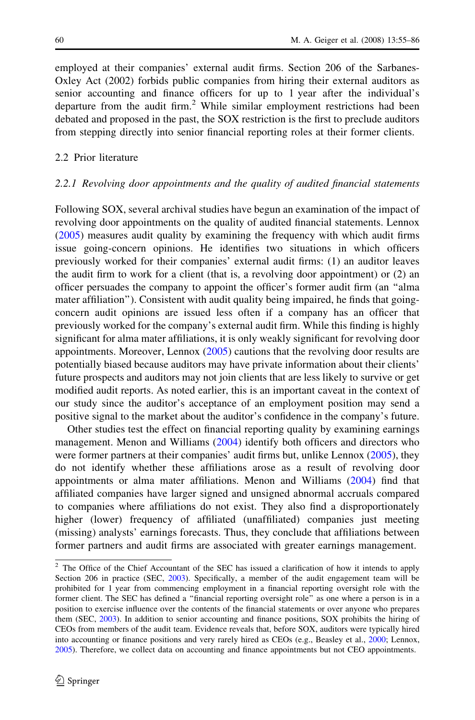employed at their companies' external audit firms. Section 206 of the Sarbanes-Oxley Act (2002) forbids public companies from hiring their external auditors as senior accounting and finance officers for up to 1 year after the individual's departure from the audit firm.<sup>2</sup> While similar employment restrictions had been debated and proposed in the past, the SOX restriction is the first to preclude auditors from stepping directly into senior financial reporting roles at their former clients.

## 2.2 Prior literature

# 2.2.1 Revolving door appointments and the quality of audited financial statements

Following SOX, several archival studies have begun an examination of the impact of revolving door appointments on the quality of audited financial statements. Lennox [\(2005](#page-31-0)) measures audit quality by examining the frequency with which audit firms issue going-concern opinions. He identifies two situations in which officers previously worked for their companies' external audit firms: (1) an auditor leaves the audit firm to work for a client (that is, a revolving door appointment) or (2) an officer persuades the company to appoint the officer's former audit firm (an ''alma mater affiliation''). Consistent with audit quality being impaired, he finds that goingconcern audit opinions are issued less often if a company has an officer that previously worked for the company's external audit firm. While this finding is highly significant for alma mater affiliations, it is only weakly significant for revolving door appointments. Moreover, Lennox [\(2005](#page-31-0)) cautions that the revolving door results are potentially biased because auditors may have private information about their clients' future prospects and auditors may not join clients that are less likely to survive or get modified audit reports. As noted earlier, this is an important caveat in the context of our study since the auditor's acceptance of an employment position may send a positive signal to the market about the auditor's confidence in the company's future.

Other studies test the effect on financial reporting quality by examining earnings management. Menon and Williams [\(2004](#page-31-0)) identify both officers and directors who were former partners at their companies' audit firms but, unlike Lennox ([2005\)](#page-31-0), they do not identify whether these affiliations arose as a result of revolving door appointments or alma mater affiliations. Menon and Williams [\(2004](#page-31-0)) find that affiliated companies have larger signed and unsigned abnormal accruals compared to companies where affiliations do not exist. They also find a disproportionately higher (lower) frequency of affiliated (unaffiliated) companies just meeting (missing) analysts' earnings forecasts. Thus, they conclude that affiliations between former partners and audit firms are associated with greater earnings management.

 $2$  The Office of the Chief Accountant of the SEC has issued a clarification of how it intends to apply Section 206 in practice (SEC, [2003\)](#page-31-0). Specifically, a member of the audit engagement team will be prohibited for 1 year from commencing employment in a financial reporting oversight role with the former client. The SEC has defined a ''financial reporting oversight role'' as one where a person is in a position to exercise influence over the contents of the financial statements or over anyone who prepares them (SEC, [2003\)](#page-31-0). In addition to senior accounting and finance positions, SOX prohibits the hiring of CEOs from members of the audit team. Evidence reveals that, before SOX, auditors were typically hired into accounting or finance positions and very rarely hired as CEOs (e.g., Beasley et al., [2000](#page-30-0); Lennox, [2005\)](#page-31-0). Therefore, we collect data on accounting and finance appointments but not CEO appointments.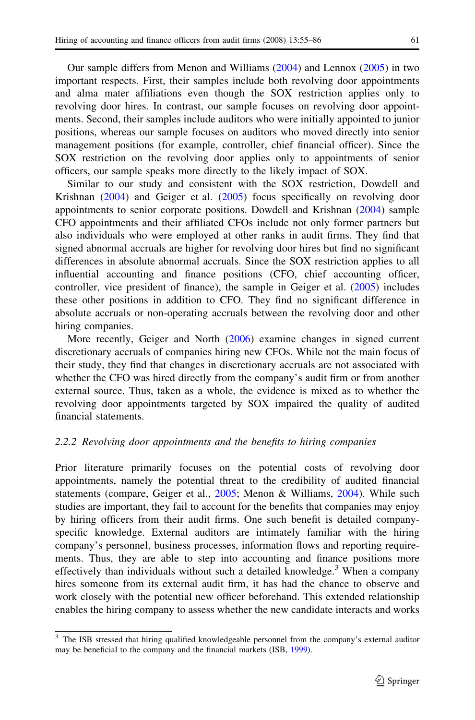Our sample differs from Menon and Williams ([2004\)](#page-31-0) and Lennox [\(2005](#page-31-0)) in two important respects. First, their samples include both revolving door appointments and alma mater affiliations even though the SOX restriction applies only to revolving door hires. In contrast, our sample focuses on revolving door appointments. Second, their samples include auditors who were initially appointed to junior positions, whereas our sample focuses on auditors who moved directly into senior management positions (for example, controller, chief financial officer). Since the SOX restriction on the revolving door applies only to appointments of senior officers, our sample speaks more directly to the likely impact of SOX.

Similar to our study and consistent with the SOX restriction, Dowdell and Krishnan [\(2004](#page-30-0)) and Geiger et al. [\(2005](#page-31-0)) focus specifically on revolving door appointments to senior corporate positions. Dowdell and Krishnan ([2004\)](#page-30-0) sample CFO appointments and their affiliated CFOs include not only former partners but also individuals who were employed at other ranks in audit firms. They find that signed abnormal accruals are higher for revolving door hires but find no significant differences in absolute abnormal accruals. Since the SOX restriction applies to all influential accounting and finance positions (CFO, chief accounting officer, controller, vice president of finance), the sample in Geiger et al. ([2005\)](#page-31-0) includes these other positions in addition to CFO. They find no significant difference in absolute accruals or non-operating accruals between the revolving door and other hiring companies.

More recently, Geiger and North ([2006\)](#page-31-0) examine changes in signed current discretionary accruals of companies hiring new CFOs. While not the main focus of their study, they find that changes in discretionary accruals are not associated with whether the CFO was hired directly from the company's audit firm or from another external source. Thus, taken as a whole, the evidence is mixed as to whether the revolving door appointments targeted by SOX impaired the quality of audited financial statements.

# 2.2.2 Revolving door appointments and the benefits to hiring companies

Prior literature primarily focuses on the potential costs of revolving door appointments, namely the potential threat to the credibility of audited financial statements (compare, Geiger et al., [2005;](#page-31-0) Menon & Williams, [2004](#page-31-0)). While such studies are important, they fail to account for the benefits that companies may enjoy by hiring officers from their audit firms. One such benefit is detailed companyspecific knowledge. External auditors are intimately familiar with the hiring company's personnel, business processes, information flows and reporting requirements. Thus, they are able to step into accounting and finance positions more effectively than individuals without such a detailed knowledge.<sup>3</sup> When a company hires someone from its external audit firm, it has had the chance to observe and work closely with the potential new officer beforehand. This extended relationship enables the hiring company to assess whether the new candidate interacts and works

<sup>&</sup>lt;sup>3</sup> The ISB stressed that hiring qualified knowledgeable personnel from the company's external auditor may be beneficial to the company and the financial markets (ISB, [1999\)](#page-31-0).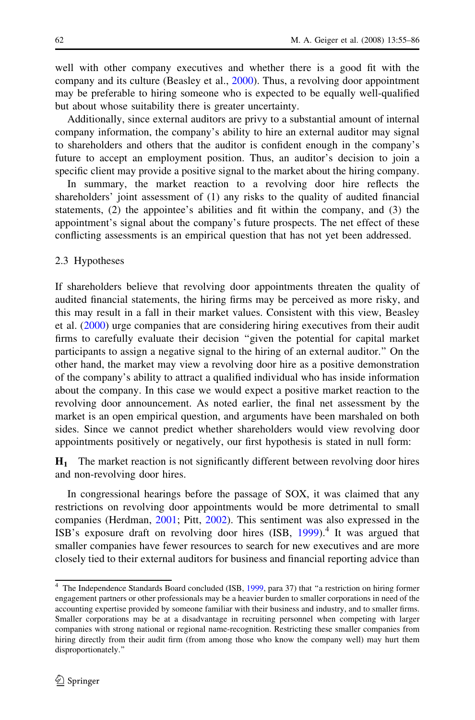well with other company executives and whether there is a good fit with the company and its culture (Beasley et al., [2000\)](#page-30-0). Thus, a revolving door appointment may be preferable to hiring someone who is expected to be equally well-qualified but about whose suitability there is greater uncertainty.

Additionally, since external auditors are privy to a substantial amount of internal company information, the company's ability to hire an external auditor may signal to shareholders and others that the auditor is confident enough in the company's future to accept an employment position. Thus, an auditor's decision to join a specific client may provide a positive signal to the market about the hiring company.

In summary, the market reaction to a revolving door hire reflects the shareholders' joint assessment of (1) any risks to the quality of audited financial statements, (2) the appointee's abilities and fit within the company, and (3) the appointment's signal about the company's future prospects. The net effect of these conflicting assessments is an empirical question that has not yet been addressed.

## 2.3 Hypotheses

If shareholders believe that revolving door appointments threaten the quality of audited financial statements, the hiring firms may be perceived as more risky, and this may result in a fall in their market values. Consistent with this view, Beasley et al. ([2000\)](#page-30-0) urge companies that are considering hiring executives from their audit firms to carefully evaluate their decision ''given the potential for capital market participants to assign a negative signal to the hiring of an external auditor.'' On the other hand, the market may view a revolving door hire as a positive demonstration of the company's ability to attract a qualified individual who has inside information about the company. In this case we would expect a positive market reaction to the revolving door announcement. As noted earlier, the final net assessment by the market is an open empirical question, and arguments have been marshaled on both sides. Since we cannot predict whether shareholders would view revolving door appointments positively or negatively, our first hypothesis is stated in null form:

 $H<sub>1</sub>$  The market reaction is not significantly different between revolving door hires and non-revolving door hires.

In congressional hearings before the passage of SOX, it was claimed that any restrictions on revolving door appointments would be more detrimental to small companies (Herdman, [2001;](#page-31-0) Pitt, [2002](#page-31-0)). This sentiment was also expressed in the ISB's exposure draft on revolving door hires  $(ISB, 1999)$  $(ISB, 1999)$  $(ISB, 1999)$ <sup>4</sup>. It was argued that smaller companies have fewer resources to search for new executives and are more closely tied to their external auditors for business and financial reporting advice than

<sup>&</sup>lt;sup>4</sup> The Independence Standards Board concluded (ISB, [1999,](#page-31-0) para 37) that "a restriction on hiring former engagement partners or other professionals may be a heavier burden to smaller corporations in need of the accounting expertise provided by someone familiar with their business and industry, and to smaller firms. Smaller corporations may be at a disadvantage in recruiting personnel when competing with larger companies with strong national or regional name-recognition. Restricting these smaller companies from hiring directly from their audit firm (from among those who know the company well) may hurt them disproportionately.''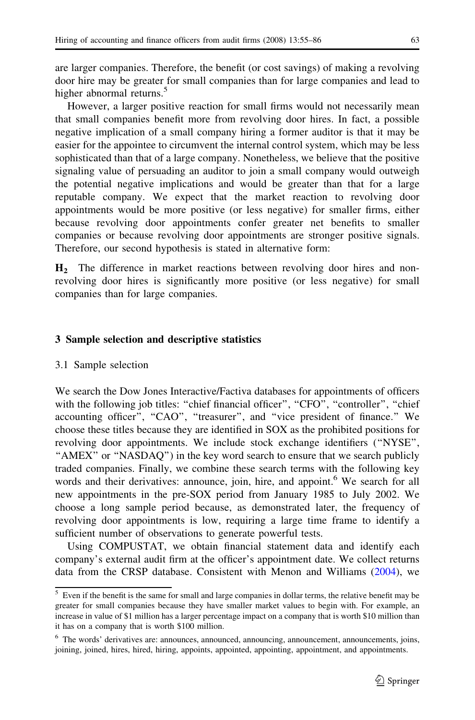are larger companies. Therefore, the benefit (or cost savings) of making a revolving door hire may be greater for small companies than for large companies and lead to higher abnormal returns.<sup>5</sup>

However, a larger positive reaction for small firms would not necessarily mean that small companies benefit more from revolving door hires. In fact, a possible negative implication of a small company hiring a former auditor is that it may be easier for the appointee to circumvent the internal control system, which may be less sophisticated than that of a large company. Nonetheless, we believe that the positive signaling value of persuading an auditor to join a small company would outweigh the potential negative implications and would be greater than that for a large reputable company. We expect that the market reaction to revolving door appointments would be more positive (or less negative) for smaller firms, either because revolving door appointments confer greater net benefits to smaller companies or because revolving door appointments are stronger positive signals. Therefore, our second hypothesis is stated in alternative form:

H<sub>2</sub> The difference in market reactions between revolving door hires and nonrevolving door hires is significantly more positive (or less negative) for small companies than for large companies.

## 3 Sample selection and descriptive statistics

# 3.1 Sample selection

We search the Dow Jones Interactive/Factiva databases for appointments of officers with the following job titles: "chief financial officer", "CFO", "controller", "chief accounting officer", "CAO", "treasurer", and "vice president of finance." We choose these titles because they are identified in SOX as the prohibited positions for revolving door appointments. We include stock exchange identifiers (''NYSE'', ''AMEX'' or ''NASDAQ'') in the key word search to ensure that we search publicly traded companies. Finally, we combine these search terms with the following key words and their derivatives: announce, join, hire, and appoint.<sup>6</sup> We search for all new appointments in the pre-SOX period from January 1985 to July 2002. We choose a long sample period because, as demonstrated later, the frequency of revolving door appointments is low, requiring a large time frame to identify a sufficient number of observations to generate powerful tests.

Using COMPUSTAT, we obtain financial statement data and identify each company's external audit firm at the officer's appointment date. We collect returns data from the CRSP database. Consistent with Menon and Williams ([2004\)](#page-31-0), we

<sup>&</sup>lt;sup>5</sup> Even if the benefit is the same for small and large companies in dollar terms, the relative benefit may be greater for small companies because they have smaller market values to begin with. For example, an increase in value of \$1 million has a larger percentage impact on a company that is worth \$10 million than it has on a company that is worth \$100 million.

<sup>6</sup> The words' derivatives are: announces, announced, announcing, announcement, announcements, joins, joining, joined, hires, hired, hiring, appoints, appointed, appointing, appointment, and appointments.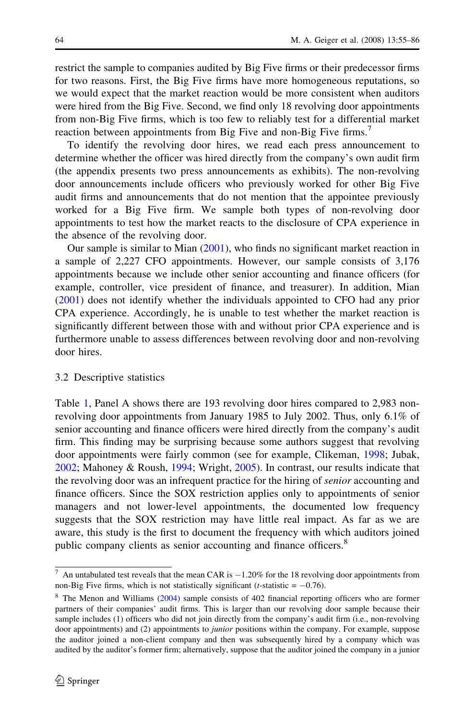restrict the sample to companies audited by Big Five firms or their predecessor firms for two reasons. First, the Big Five firms have more homogeneous reputations, so we would expect that the market reaction would be more consistent when auditors were hired from the Big Five. Second, we find only 18 revolving door appointments from non-Big Five firms, which is too few to reliably test for a differential market reaction between appointments from Big Five and non-Big Five firms.<sup>7</sup>

To identify the revolving door hires, we read each press announcement to determine whether the officer was hired directly from the company's own audit firm (the appendix presents two press announcements as exhibits). The non-revolving door announcements include officers who previously worked for other Big Five audit firms and announcements that do not mention that the appointee previously worked for a Big Five firm. We sample both types of non-revolving door appointments to test how the market reacts to the disclosure of CPA experience in the absence of the revolving door.

Our sample is similar to Mian [\(2001](#page-31-0)), who finds no significant market reaction in a sample of 2,227 CFO appointments. However, our sample consists of 3,176 appointments because we include other senior accounting and finance officers (for example, controller, vice president of finance, and treasurer). In addition, Mian [\(2001](#page-31-0)) does not identify whether the individuals appointed to CFO had any prior CPA experience. Accordingly, he is unable to test whether the market reaction is significantly different between those with and without prior CPA experience and is furthermore unable to assess differences between revolving door and non-revolving door hires.

## 3.2 Descriptive statistics

Table [1](#page-10-0), Panel A shows there are 193 revolving door hires compared to 2,983 nonrevolving door appointments from January 1985 to July 2002. Thus, only 6.1% of senior accounting and finance officers were hired directly from the company's audit firm. This finding may be surprising because some authors suggest that revolving door appointments were fairly common (see for example, Clikeman, [1998](#page-30-0); Jubak, [2002;](#page-31-0) Mahoney & Roush, [1994](#page-31-0); Wright, [2005](#page-31-0)). In contrast, our results indicate that the revolving door was an infrequent practice for the hiring of *senior* accounting and finance officers. Since the SOX restriction applies only to appointments of senior managers and not lower-level appointments, the documented low frequency suggests that the SOX restriction may have little real impact. As far as we are aware, this study is the first to document the frequency with which auditors joined public company clients as senior accounting and finance officers.<sup>8</sup>

 $^7$  An untabulated test reveals that the mean CAR is  $-1.20\%$  for the 18 revolving door appointments from non-Big Five firms, which is not statistically significant (*t*-statistic  $= -0.76$ ).

<sup>&</sup>lt;sup>8</sup> The Menon and Williams [\(2004](#page-31-0)) sample consists of 402 financial reporting officers who are former partners of their companies' audit firms. This is larger than our revolving door sample because their sample includes (1) officers who did not join directly from the company's audit firm (i.e., non-revolving door appointments) and (2) appointments to *junior* positions within the company. For example, suppose the auditor joined a non-client company and then was subsequently hired by a company which was audited by the auditor's former firm; alternatively, suppose that the auditor joined the company in a junior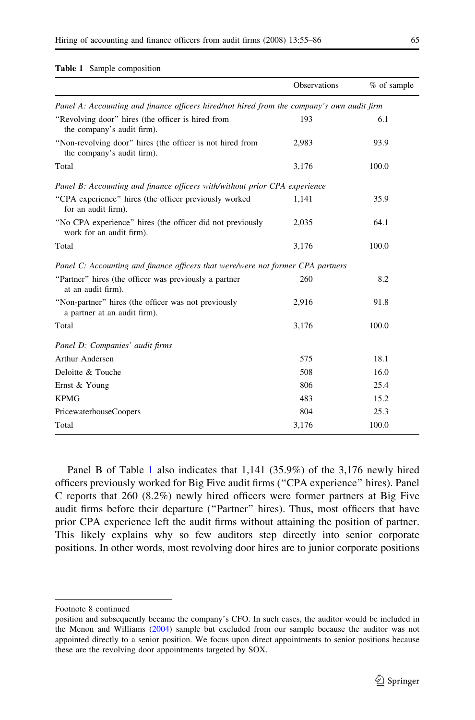<span id="page-10-0"></span>

|  |  |  | <b>Table 1</b> Sample composition |  |  |
|--|--|--|-----------------------------------|--|--|
|--|--|--|-----------------------------------|--|--|

|                                                                                            | Observations | $%$ of sample |
|--------------------------------------------------------------------------------------------|--------------|---------------|
| Panel A: Accounting and finance officers hired/not hired from the company's own audit firm |              |               |
| "Revolving door" hires (the officer is hired from<br>the company's audit firm).            | 193          | 6.1           |
| "Non-revolving door" hires (the officer is not hired from<br>the company's audit firm).    | 2,983        | 93.9          |
| Total                                                                                      | 3,176        | 100.0         |
| Panel B: Accounting and finance officers with/without prior CPA experience                 |              |               |
| "CPA experience" hires (the officer previously worked<br>for an audit firm).               | 1,141        | 35.9          |
| "No CPA experience" hires (the officer did not previously<br>work for an audit firm).      | 2,035        | 64.1          |
| Total                                                                                      | 3,176        | 100.0         |
| Panel C: Accounting and finance officers that were/were not former CPA partners            |              |               |
| "Partner" hires (the officer was previously a partner<br>at an audit firm).                | 260          | 8.2           |
| "Non-partner" hires (the officer was not previously<br>a partner at an audit firm).        | 2,916        | 91.8          |
| Total                                                                                      | 3,176        | 100.0         |
| Panel D: Companies' audit firms                                                            |              |               |
| Arthur Andersen                                                                            | 575          | 18.1          |
| Deloitte & Touche                                                                          | 508          | 16.0          |
| Ernst & Young                                                                              | 806          | 25.4          |
| <b>KPMG</b>                                                                                | 483          | 15.2          |
| PricewaterhouseCoopers                                                                     | 804          | 25.3          |
| Total                                                                                      | 3,176        | 100.0         |

Panel B of Table 1 also indicates that 1,141 (35.9%) of the 3,176 newly hired officers previously worked for Big Five audit firms (''CPA experience'' hires). Panel C reports that 260 (8.2%) newly hired officers were former partners at Big Five audit firms before their departure (''Partner'' hires). Thus, most officers that have prior CPA experience left the audit firms without attaining the position of partner. This likely explains why so few auditors step directly into senior corporate positions. In other words, most revolving door hires are to junior corporate positions

Footnote 8 continued

position and subsequently became the company's CFO. In such cases, the auditor would be included in the Menon and Williams ([2004\)](#page-31-0) sample but excluded from our sample because the auditor was not appointed directly to a senior position. We focus upon direct appointments to senior positions because these are the revolving door appointments targeted by SOX.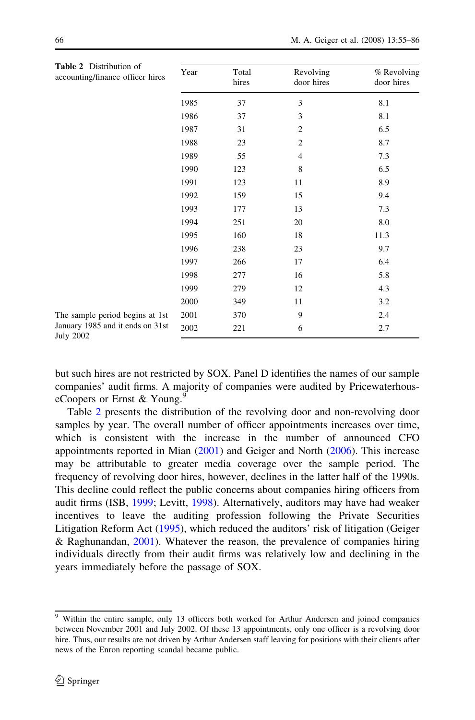| Table 2 Distribution of<br>accounting/finance officer hires | Year | Total<br>hires | Revolving<br>door hires | % Revolving<br>door hires |
|-------------------------------------------------------------|------|----------------|-------------------------|---------------------------|
|                                                             | 1985 | 37             | 3                       | 8.1                       |
|                                                             | 1986 | 37             | 3                       | 8.1                       |
|                                                             | 1987 | 31             | $\overline{c}$          | 6.5                       |
|                                                             | 1988 | 23             | $\overline{2}$          | 8.7                       |
|                                                             | 1989 | 55             | 4                       | 7.3                       |
|                                                             | 1990 | 123            | 8                       | 6.5                       |
|                                                             | 1991 | 123            | 11                      | 8.9                       |
|                                                             | 1992 | 159            | 15                      | 9.4                       |
|                                                             | 1993 | 177            | 13                      | 7.3                       |
|                                                             | 1994 | 251            | 20                      | 8.0                       |
|                                                             | 1995 | 160            | 18                      | 11.3                      |
|                                                             | 1996 | 238            | 23                      | 9.7                       |
|                                                             | 1997 | 266            | 17                      | 6.4                       |
|                                                             | 1998 | 277            | 16                      | 5.8                       |
|                                                             | 1999 | 279            | 12                      | 4.3                       |
|                                                             | 2000 | 349            | 11                      | 3.2                       |
| The sample period begins at 1st                             | 2001 | 370            | 9                       | 2.4                       |
| January 1985 and it ends on 31st<br><b>July 2002</b>        | 2002 | 221            | 6                       | 2.7                       |

but such hires are not restricted by SOX. Panel D identifies the names of our sample companies' audit firms. A majority of companies were audited by PricewaterhouseCoopers or Ernst & Young.<sup>9</sup>

Table 2 presents the distribution of the revolving door and non-revolving door samples by year. The overall number of officer appointments increases over time, which is consistent with the increase in the number of announced CFO appointments reported in Mian [\(2001](#page-31-0)) and Geiger and North ([2006](#page-31-0)). This increase may be attributable to greater media coverage over the sample period. The frequency of revolving door hires, however, declines in the latter half of the 1990s. This decline could reflect the public concerns about companies hiring officers from audit firms (ISB, [1999;](#page-31-0) Levitt, [1998](#page-31-0)). Alternatively, auditors may have had weaker incentives to leave the auditing profession following the Private Securities Litigation Reform Act [\(1995\)](#page-31-0), which reduced the auditors' risk of litigation (Geiger & Raghunandan, [2001](#page-31-0)). Whatever the reason, the prevalence of companies hiring individuals directly from their audit firms was relatively low and declining in the years immediately before the passage of SOX.

<sup>&</sup>lt;sup>9</sup> Within the entire sample, only 13 officers both worked for Arthur Andersen and joined companies between November 2001 and July 2002. Of these 13 appointments, only one officer is a revolving door hire. Thus, our results are not driven by Arthur Andersen staff leaving for positions with their clients after news of the Enron reporting scandal became public.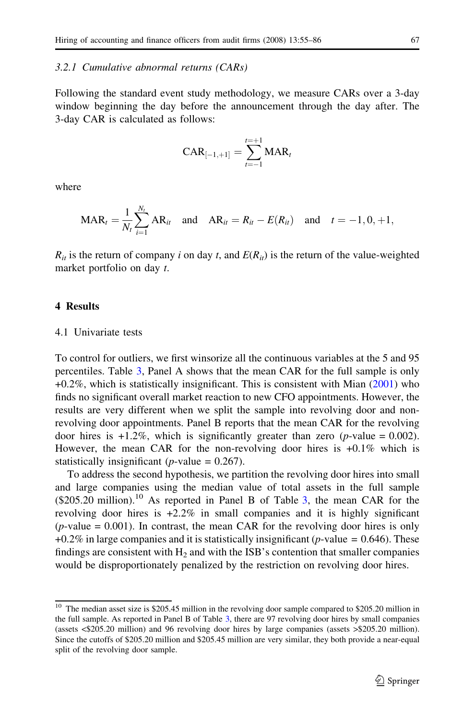#### 3.2.1 Cumulative abnormal returns (CARs)

Following the standard event study methodology, we measure CARs over a 3-day window beginning the day before the announcement through the day after. The 3-day CAR is calculated as follows:

$$
CAR_{[-1,+1]} = \sum_{t=-1}^{t=+1} MAR_t
$$

where

$$
MAR_t = \frac{1}{N_t} \sum_{i=1}^{N_t} AR_{it}
$$
 and  $AR_{it} = R_{it} - E(R_{it})$  and  $t = -1, 0, +1,$ 

 $R_{it}$  is the return of company i on day t, and  $E(R_{it})$  is the return of the value-weighted market portfolio on day t.

#### 4 Results

# 4.1 Univariate tests

To control for outliers, we first winsorize all the continuous variables at the 5 and 95 percentiles. Table [3](#page-13-0), Panel A shows that the mean CAR for the full sample is only +0.2%, which is statistically insignificant. This is consistent with Mian ([2001\)](#page-31-0) who finds no significant overall market reaction to new CFO appointments. However, the results are very different when we split the sample into revolving door and nonrevolving door appointments. Panel B reports that the mean CAR for the revolving door hires is  $+1.2\%$ , which is significantly greater than zero (*p*-value = 0.002). However, the mean CAR for the non-revolving door hires is +0.1% which is statistically insignificant (*p*-value =  $0.267$ ).

To address the second hypothesis, we partition the revolving door hires into small and large companies using the median value of total assets in the full sample  $(\$205.20$  million).<sup>10</sup> As reported in Panel B of Table [3,](#page-13-0) the mean CAR for the revolving door hires is +2.2% in small companies and it is highly significant  $(p$ -value = 0.001). In contrast, the mean CAR for the revolving door hires is only  $+0.2\%$  in large companies and it is statistically insignificant (*p*-value = 0.646). These findings are consistent with  $H_2$  and with the ISB's contention that smaller companies would be disproportionately penalized by the restriction on revolving door hires.

<sup>&</sup>lt;sup>10</sup> The median asset size is \$205.45 million in the revolving door sample compared to \$205.20 million in the full sample. As reported in Panel B of Table [3,](#page-13-0) there are 97 revolving door hires by small companies (assets <\$205.20 million) and 96 revolving door hires by large companies (assets >\$205.20 million). Since the cutoffs of \$205.20 million and \$205.45 million are very similar, they both provide a near-equal split of the revolving door sample.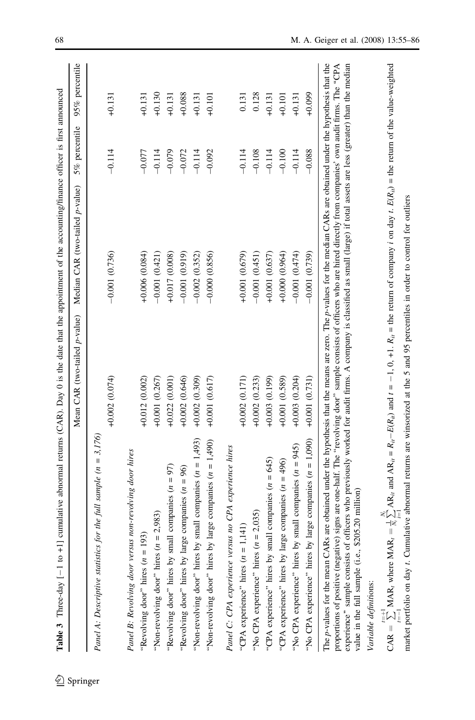<span id="page-13-0"></span>

| <b>Table 3</b> Three-day $[-1 \text{ to } +1]$ cumulative abnormal returns (CAR). Day 0 is the date that the appointment of the accounting/finance officer is first announced                                                                                                                                                                                                                                                                                                                                                                                                                             |                               |                                 |               |                |
|-----------------------------------------------------------------------------------------------------------------------------------------------------------------------------------------------------------------------------------------------------------------------------------------------------------------------------------------------------------------------------------------------------------------------------------------------------------------------------------------------------------------------------------------------------------------------------------------------------------|-------------------------------|---------------------------------|---------------|----------------|
|                                                                                                                                                                                                                                                                                                                                                                                                                                                                                                                                                                                                           | Mean CAR (two-tailed p-value) | Median CAR (two-tailed p-value) | 5% percentile | 95% percentile |
| for the full sample $(n = 3, 176)$<br>Panel A: Descriptive statistics                                                                                                                                                                                                                                                                                                                                                                                                                                                                                                                                     | $+0.002(0.074)$               | $-0.001(0.736)$                 | $-0.114$      | $+0.131$       |
| Panel B: Revolving door versus non-revolving door hires<br>(60<br>"Revolving door" hires $(n = 1$                                                                                                                                                                                                                                                                                                                                                                                                                                                                                                         | $+0.012(0.002)$               | $+0.006(0.084)$                 | $-0.077$      | $+0.131$       |
| $= 2,983$<br>"Non-revolving door" hires $(n)$                                                                                                                                                                                                                                                                                                                                                                                                                                                                                                                                                             | $+0.001(0.267)$               | $-0.001(0.421)$                 | $-0.114$      | $+0.130$       |
| "Revolving door" hires by small companies ( $n = 97$ )                                                                                                                                                                                                                                                                                                                                                                                                                                                                                                                                                    | $+0.022(0.001)$               | $+0.017(0.008)$                 | $-0.079$      | $+0.131$       |
| "Revolving door" hires by large companies ( $n = 96$ )                                                                                                                                                                                                                                                                                                                                                                                                                                                                                                                                                    | $+0.002(0.646)$               | $-0.001(0.919)$                 | $-0.072$      | $+0.088$       |
| "Non-revolving door" hires by small companies $(n = 1,493)$ "                                                                                                                                                                                                                                                                                                                                                                                                                                                                                                                                             | $+0.002(0.309)$               | $-0.002(0.352)$                 | $-0.114$      | $+0.131$       |
| "Non-revolving door" hires by large companies $(n = 1,490)$                                                                                                                                                                                                                                                                                                                                                                                                                                                                                                                                               | $+0.001(0.617)$               | $-0.000(0.856)$                 | $-0.092$      | $+0.101$       |
| Panel C: CPA experience versus no CPA experience hires                                                                                                                                                                                                                                                                                                                                                                                                                                                                                                                                                    |                               |                                 |               |                |
| 1,141)<br>"CPA experience" hires $(n =$                                                                                                                                                                                                                                                                                                                                                                                                                                                                                                                                                                   | $+0.002(0.171)$               | $+0.001(0.679)$                 | $-0.114$      | 0.131          |
| "No CPA experience" hires $(n = 2,035)$                                                                                                                                                                                                                                                                                                                                                                                                                                                                                                                                                                   | $+0.002(0.233)$               | $-0.001(0.451)$                 | $-0.108$      | 0.128          |
| "CPA experience" hires by small companies $(n = 645)$                                                                                                                                                                                                                                                                                                                                                                                                                                                                                                                                                     | $+0.003(0.199)$               | $+0.001(0.637)$                 | $-0.114$      | $+0.131$       |
| "CPA experience" hires by large companies ( $n = 496$ )                                                                                                                                                                                                                                                                                                                                                                                                                                                                                                                                                   | $+0.001(0.589)$               | $+0.000(0.964)$                 | $-0.100$      | $+0.101$       |
| "No CPA experience" hires by small companies $(n = 945)$                                                                                                                                                                                                                                                                                                                                                                                                                                                                                                                                                  | $+0.003(0.204)$               | $-0.001(0.474)$                 | $-0.114$      | $+0.131$       |
| "No CPA experience" hires by large companies $(n = 1,090)$                                                                                                                                                                                                                                                                                                                                                                                                                                                                                                                                                | $+0.001(0.731)$               | $-0.001(0.739)$                 | $-0.088$      | $+0.099$       |
| The <i>p</i> -values for the mean CARs are obtained under the hypothesis that the means are zero. The <i>p</i> -values for the median CARs are obtained under the hypothesis that the<br>proportions of positive (negative) signs are one-half. The "revolving door" sample consists of officers who are hired directly from companies' own audit firms. The "CPA<br>experience" sample consists of officers who previously worked for audit firms. A company is classified as small (large) if total assets are less (greater) than the median<br>$205.20$ million<br>value in the full sample (i.e., \$ |                               |                                 |               |                |
| CAR = $\sum_{t=1}^{t=+1}$ MAR, where MAR, = $\frac{N_t}{N_t}$ and AR <sub>ti</sub> = $R_{it} - E(R_{it})$ and $t = -1, 0, +1$ . $R_{it}$ = the return of company <i>i</i> on day <i>t</i> . $E(R_{it})$ = the return of the value-weighted $t = -1$ .<br>Variable definitions:                                                                                                                                                                                                                                                                                                                            |                               |                                 |               |                |
|                                                                                                                                                                                                                                                                                                                                                                                                                                                                                                                                                                                                           |                               |                                 |               |                |

market portfolio on day t. Cumulative abnormal returns are winsorized at the 5 and 95 percentiles in order to control for outliers

 $\underline{\textcircled{\tiny 2}}$  Springer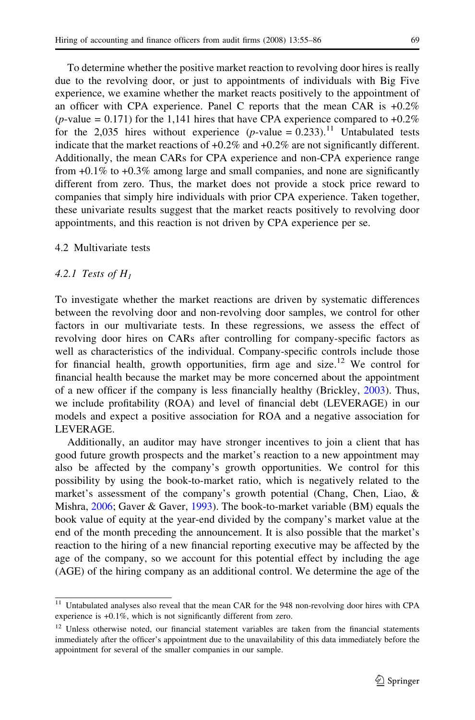To determine whether the positive market reaction to revolving door hires is really due to the revolving door, or just to appointments of individuals with Big Five experience, we examine whether the market reacts positively to the appointment of an officer with CPA experience. Panel C reports that the mean CAR is  $+0.2\%$ (*p*-value = 0.171) for the 1,141 hires that have CPA experience compared to  $+0.2\%$ for the 2,035 hires without experience  $(p$ -value = 0.233).<sup>11</sup> Untabulated tests indicate that the market reactions of +0.2% and +0.2% are not significantly different. Additionally, the mean CARs for CPA experience and non-CPA experience range from  $+0.1\%$  to  $+0.3\%$  among large and small companies, and none are significantly different from zero. Thus, the market does not provide a stock price reward to companies that simply hire individuals with prior CPA experience. Taken together, these univariate results suggest that the market reacts positively to revolving door appointments, and this reaction is not driven by CPA experience per se.

# 4.2 Multivariate tests

# 4.2.1 Tests of  $H_I$

To investigate whether the market reactions are driven by systematic differences between the revolving door and non-revolving door samples, we control for other factors in our multivariate tests. In these regressions, we assess the effect of revolving door hires on CARs after controlling for company-specific factors as well as characteristics of the individual. Company-specific controls include those for financial health, growth opportunities, firm age and size.<sup>12</sup> We control for financial health because the market may be more concerned about the appointment of a new officer if the company is less financially healthy (Brickley, [2003\)](#page-30-0). Thus, we include profitability (ROA) and level of financial debt (LEVERAGE) in our models and expect a positive association for ROA and a negative association for LEVERAGE.

Additionally, an auditor may have stronger incentives to join a client that has good future growth prospects and the market's reaction to a new appointment may also be affected by the company's growth opportunities. We control for this possibility by using the book-to-market ratio, which is negatively related to the market's assessment of the company's growth potential (Chang, Chen, Liao, & Mishra, [2006](#page-30-0); Gaver & Gaver, [1993\)](#page-31-0). The book-to-market variable (BM) equals the book value of equity at the year-end divided by the company's market value at the end of the month preceding the announcement. It is also possible that the market's reaction to the hiring of a new financial reporting executive may be affected by the age of the company, so we account for this potential effect by including the age (AGE) of the hiring company as an additional control. We determine the age of the

<sup>&</sup>lt;sup>11</sup> Untabulated analyses also reveal that the mean CAR for the 948 non-revolving door hires with CPA experience is +0.1%, which is not significantly different from zero.

<sup>&</sup>lt;sup>12</sup> Unless otherwise noted, our financial statement variables are taken from the financial statements immediately after the officer's appointment due to the unavailability of this data immediately before the appointment for several of the smaller companies in our sample.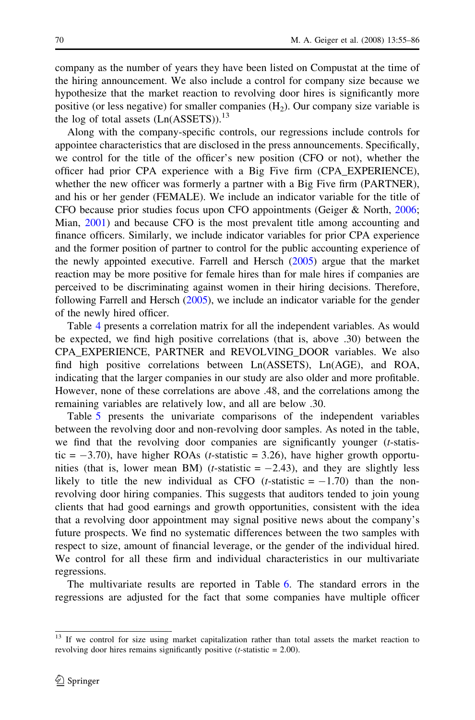company as the number of years they have been listed on Compustat at the time of the hiring announcement. We also include a control for company size because we hypothesize that the market reaction to revolving door hires is significantly more positive (or less negative) for smaller companies  $(H<sub>2</sub>)$ . Our company size variable is the log of total assets  $(Ln(ASSETS))$ .<sup>13</sup>

Along with the company-specific controls, our regressions include controls for appointee characteristics that are disclosed in the press announcements. Specifically, we control for the title of the officer's new position (CFO or not), whether the officer had prior CPA experience with a Big Five firm (CPA\_EXPERIENCE), whether the new officer was formerly a partner with a Big Five firm (PARTNER), and his or her gender (FEMALE). We include an indicator variable for the title of CFO because prior studies focus upon CFO appointments (Geiger & North, [2006;](#page-31-0) Mian, [2001\)](#page-31-0) and because CFO is the most prevalent title among accounting and finance officers. Similarly, we include indicator variables for prior CPA experience and the former position of partner to control for the public accounting experience of the newly appointed executive. Farrell and Hersch [\(2005](#page-30-0)) argue that the market reaction may be more positive for female hires than for male hires if companies are perceived to be discriminating against women in their hiring decisions. Therefore, following Farrell and Hersch ([2005](#page-30-0)), we include an indicator variable for the gender of the newly hired officer.

Table [4](#page-16-0) presents a correlation matrix for all the independent variables. As would be expected, we find high positive correlations (that is, above .30) between the CPA\_EXPERIENCE, PARTNER and REVOLVING\_DOOR variables. We also find high positive correlations between Ln(ASSETS), Ln(AGE), and ROA, indicating that the larger companies in our study are also older and more profitable. However, none of these correlations are above .48, and the correlations among the remaining variables are relatively low, and all are below .30.

Table [5](#page-17-0) presents the univariate comparisons of the independent variables between the revolving door and non-revolving door samples. As noted in the table, we find that the revolving door companies are significantly younger  $(t\text{-}statis-)$ tic  $= -3.70$ ), have higher ROAs (*t*-statistic  $= 3.26$ ), have higher growth opportunities (that is, lower mean BM) (*t*-statistic  $= -2.43$ ), and they are slightly less likely to title the new individual as CFO  $(t\text{-statistic} = -1.70)$  than the nonrevolving door hiring companies. This suggests that auditors tended to join young clients that had good earnings and growth opportunities, consistent with the idea that a revolving door appointment may signal positive news about the company's future prospects. We find no systematic differences between the two samples with respect to size, amount of financial leverage, or the gender of the individual hired. We control for all these firm and individual characteristics in our multivariate regressions.

The multivariate results are reported in Table [6.](#page-18-0) The standard errors in the regressions are adjusted for the fact that some companies have multiple officer

<sup>&</sup>lt;sup>13</sup> If we control for size using market capitalization rather than total assets the market reaction to revolving door hires remains significantly positive  $(t\text{-statistic} = 2.00)$ .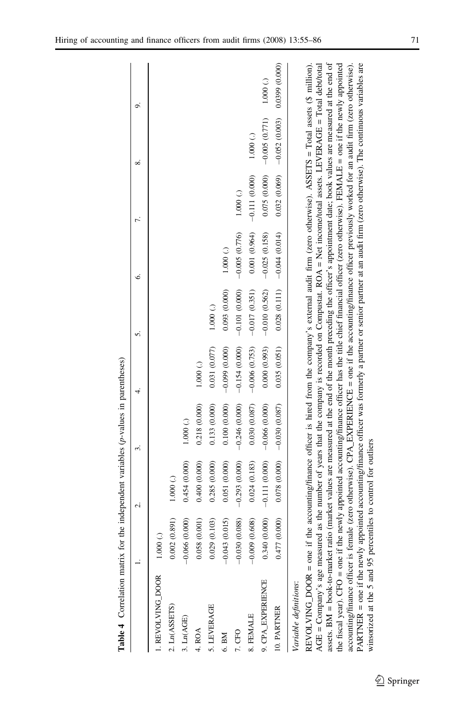<span id="page-16-0"></span>

|                                                                                                                                                                                                                                                                                                                                     |                 | نہ<br>          | 2.              |                 | n               | G.                               |                 | ∞ं                            | o,             |
|-------------------------------------------------------------------------------------------------------------------------------------------------------------------------------------------------------------------------------------------------------------------------------------------------------------------------------------|-----------------|-----------------|-----------------|-----------------|-----------------|----------------------------------|-----------------|-------------------------------|----------------|
| I. REVOLVING_DOOR                                                                                                                                                                                                                                                                                                                   | 1.000(.)        |                 |                 |                 |                 |                                  |                 |                               |                |
| 2. Ln(ASSETS)                                                                                                                                                                                                                                                                                                                       | 0.002(0.891)    | 1.000(.)        |                 |                 |                 |                                  |                 |                               |                |
| 3. Ln(AGE)                                                                                                                                                                                                                                                                                                                          | $-0.066(0.000)$ | 0.454(0.000)    | 1.000(.)        |                 |                 |                                  |                 |                               |                |
| 4. ROA                                                                                                                                                                                                                                                                                                                              | 0.058(0.001)    | 0.400(0.000)    | 0.218 (0.000)   | 1.000(.)        |                 |                                  |                 |                               |                |
| 5. LEVERAGE                                                                                                                                                                                                                                                                                                                         | 0.029(0.103)    | 0.285(0.000)    | 0.133(0.000)    | 0.031(0.077)    | 1.000(.)        |                                  |                 |                               |                |
| 6. BM                                                                                                                                                                                                                                                                                                                               | $-0.043(0.015)$ | 0.051 (0.000)   | 0.100(0.000)    | $-0.099(0.000)$ | 0.093(0.000)    | 1.000(.)                         |                 |                               |                |
| $7.$ CFO                                                                                                                                                                                                                                                                                                                            | $-0.030(0.088)$ | $-0.293(0.000)$ | $-0.246(0.000)$ | $-0.154(0.000)$ | $-0.101(0.000)$ | $-0.005(0.776)$                  | 1.000(.)        |                               |                |
| 8. FEMALE                                                                                                                                                                                                                                                                                                                           | $-0.009(0.608)$ | 0.024(0.183)    | 0.030(0.087)    | $-0.006(0.753)$ | $-0.017(0.351)$ | 0.001(0.964)                     | $-0.111(0.000)$ | 1.000(.)                      |                |
| 9. CPA_EXPERIENCE                                                                                                                                                                                                                                                                                                                   | 0.340(0.000)    | $-0.111(0.000)$ | $-0.066(0.000)$ | 0.000 (0.993)   | $-0.010(0.562)$ | $-0.025(0.158)$                  |                 | $0.075(0.000)$ -0.005 (0.771) | 1.000(.)       |
| 10. PARTNER                                                                                                                                                                                                                                                                                                                         | 0.477 (0.000)   | 0.078 (0.000)   | $-0.030(0.087)$ | 0.035(0.051)    |                 | $0.028$ (0.111) $-0.044$ (0.014) | 0.032(0.069)    | $-0.052(0.003)$               | 0.0399 (0.000) |
| Variable definitions:                                                                                                                                                                                                                                                                                                               |                 |                 |                 |                 |                 |                                  |                 |                               |                |
| REVOLVING_DOOR = one if the accounting/finance officer is hired from the company's external audit firm (zero otherwise). ASSETS = Total assets (8 million).                                                                                                                                                                         |                 |                 |                 |                 |                 |                                  |                 |                               |                |
| assets. BM = book-to-market ratio (market values are measured at the end of the month preceding the officer's appointment date; book values are measured at the end of<br>AGE = Company's age measured as the number of years that the company is recorded on Compustat. ROA = Net income/total assets. LEVERAGE = Total debt/total |                 |                 |                 |                 |                 |                                  |                 |                               |                |
| the fiscal year). CFO = one if the newly appointed accounting/finance officer has the title chief financial officer (zero otherwise). FEMALE = one if the newly appointed                                                                                                                                                           |                 |                 |                 |                 |                 |                                  |                 |                               |                |
| accounting/finance officer is female (zero otherwise). CPA_EXPERIENCE = one if the accounting/finance officer previously worked for an audit firm (zero otherwise).                                                                                                                                                                 |                 |                 |                 |                 |                 |                                  |                 |                               |                |

PARTNER = one if the newly appointed accounting/finance officer was formerly a partner or senior partner at an audit firm (zero otherwise). The continuous variables are

PARTNER = one if the newly appointed accounting/finance officer was formerly a partner or senior partner at an audit firm (zero otherwise). The continuous variables are

winsorized at the 5 and 95 percentiles to control for outliers

winsorized at the 5 and 95 percentiles to control for outliers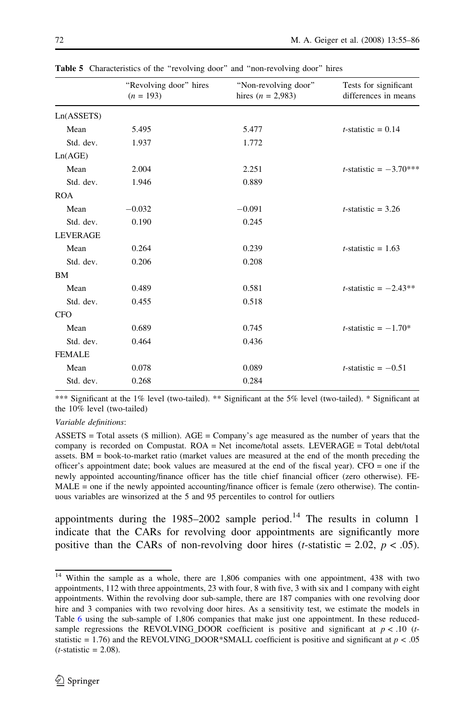|                 | "Revolving door" hires<br>$(n = 193)$ | "Non-revolving door"<br>hires $(n = 2,983)$ | Tests for significant<br>differences in means |
|-----------------|---------------------------------------|---------------------------------------------|-----------------------------------------------|
| Ln(ASSETS)      |                                       |                                             |                                               |
| Mean            | 5.495                                 | 5.477                                       | $t$ -statistic = 0.14                         |
| Std. dev.       | 1.937                                 | 1.772                                       |                                               |
| Ln(AGE)         |                                       |                                             |                                               |
| Mean            | 2.004                                 | 2.251                                       | <i>t</i> -statistic = $-3.70***$              |
| Std. dev.       | 1.946                                 | 0.889                                       |                                               |
| <b>ROA</b>      |                                       |                                             |                                               |
| Mean            | $-0.032$                              | $-0.091$                                    | <i>t</i> -statistic = $3.26$                  |
| Std. dev.       | 0.190                                 | 0.245                                       |                                               |
| <b>LEVERAGE</b> |                                       |                                             |                                               |
| Mean            | 0.264                                 | 0.239                                       | <i>t</i> -statistic = $1.63$                  |
| Std. dev.       | 0.206                                 | 0.208                                       |                                               |
| <b>BM</b>       |                                       |                                             |                                               |
| Mean            | 0.489                                 | 0.581                                       | <i>t</i> -statistic = $-2.43**$               |
| Std. dev.       | 0.455                                 | 0.518                                       |                                               |
| <b>CFO</b>      |                                       |                                             |                                               |
| Mean            | 0.689                                 | 0.745                                       | <i>t</i> -statistic = $-1.70*$                |
| Std. dev.       | 0.464                                 | 0.436                                       |                                               |
| <b>FEMALE</b>   |                                       |                                             |                                               |
| Mean            | 0.078                                 | 0.089                                       | <i>t</i> -statistic = $-0.51$                 |
| Std. dev.       | 0.268                                 | 0.284                                       |                                               |

<span id="page-17-0"></span>Table 5 Characteristics of the "revolving door" and "non-revolving door" hires

\*\*\* Significant at the 1% level (two-tailed). \*\* Significant at the 5% level (two-tailed). \* Significant at the 10% level (two-tailed)

#### Variable definitions:

ASSETS = Total assets  $(\$$  million). AGE = Company's age measured as the number of years that the company is recorded on Compustat. ROA = Net income/total assets. LEVERAGE = Total debt/total assets. BM = book-to-market ratio (market values are measured at the end of the month preceding the officer's appointment date; book values are measured at the end of the fiscal year). CFO = one if the newly appointed accounting/finance officer has the title chief financial officer (zero otherwise). FE-MALE = one if the newly appointed accounting/finance officer is female (zero otherwise). The continuous variables are winsorized at the 5 and 95 percentiles to control for outliers

appointments during the  $1985-2002$  sample period.<sup>14</sup> The results in column 1 indicate that the CARs for revolving door appointments are significantly more positive than the CARs of non-revolving door hires (*t*-statistic = 2.02,  $p < .05$ ).

<sup>&</sup>lt;sup>14</sup> Within the sample as a whole, there are 1,806 companies with one appointment, 438 with two appointments, 112 with three appointments, 23 with four, 8 with five, 3 with six and 1 company with eight appointments. Within the revolving door sub-sample, there are 187 companies with one revolving door hire and 3 companies with two revolving door hires. As a sensitivity test, we estimate the models in Table [6](#page-18-0) using the sub-sample of 1,806 companies that make just one appointment. In these reducedsample regressions the REVOLVING\_DOOR coefficient is positive and significant at  $p < .10$  (tstatistic = 1.76) and the REVOLVING\_DOOR\*SMALL coefficient is positive and significant at  $p < .05$  $(t\text{-statistic} = 2.08)$ .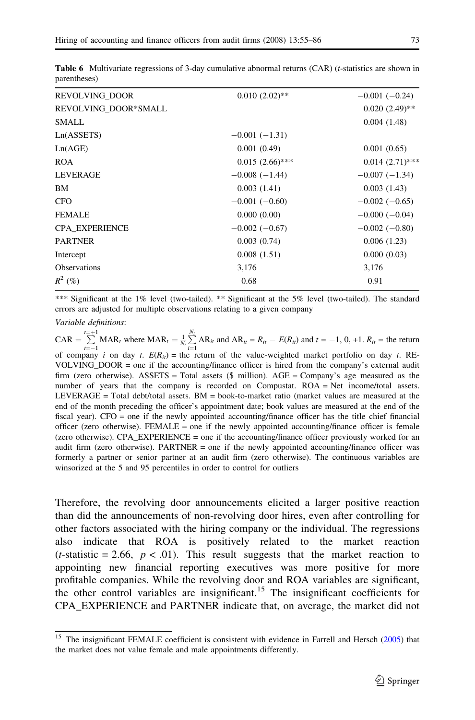| REVOLVING DOOR        | $0.010(2.02)$ **  | $-0.001(-0.24)$   |
|-----------------------|-------------------|-------------------|
| REVOLVING DOOR*SMALL  |                   | $0.020(2.49)$ **  |
| <b>SMALL</b>          |                   | 0.004(1.48)       |
| Ln(ASSETS)            | $-0.001(-1.31)$   |                   |
| Ln(AGE)               | 0.001(0.49)       | 0.001(0.65)       |
| <b>ROA</b>            | $0.015(2.66)$ *** | $0.014(2.71)$ *** |
| <b>LEVERAGE</b>       | $-0.008(-1.44)$   | $-0.007(-1.34)$   |
| <b>BM</b>             | 0.003(1.41)       | 0.003(1.43)       |
| <b>CFO</b>            | $-0.001(-0.60)$   | $-0.002(-0.65)$   |
| <b>FEMALE</b>         | 0.000(0.00)       | $-0.000(-0.04)$   |
| <b>CPA EXPERIENCE</b> | $-0.002(-0.67)$   | $-0.002(-0.80)$   |
| <b>PARTNER</b>        | 0.003(0.74)       | 0.006(1.23)       |
| Intercept             | 0.008(1.51)       | 0.000(0.03)       |
| <b>Observations</b>   | 3,176             | 3,176             |
| $R^2$ (%)             | 0.68              | 0.91              |

<span id="page-18-0"></span>Table 6 Multivariate regressions of 3-day cumulative abnormal returns (CAR) (*t*-statistics are shown in parentheses)

\*\*\* Significant at the 1% level (two-tailed). \*\* Significant at the 5% level (two-tailed). The standard errors are adjusted for multiple observations relating to a given company

Variable definitions:

 $CAR = \sum_{i=+1}^{t=+1}$  $\sum_{t=-1}^{t=+1}$  MAR<sub>t</sub> where MAR<sub>t</sub> =  $\frac{1}{N_t} \sum_{i=1}^{N_t}$  $\sum_{i=1}$  AR<sub>it</sub> and AR<sub>it</sub> =  $R_{it}$  –  $E(R_{it})$  and  $t = -1, 0, +1$ .  $R_{it}$  = the return of company i on day t.  $E(R_{ii})$  = the return of the value-weighted market portfolio on day t. RE-VOLVING\_DOOR = one if the accounting/finance officer is hired from the company's external audit firm (zero otherwise). ASSETS = Total assets (\$ million). AGE = Company's age measured as the number of years that the company is recorded on Compustat. ROA = Net income/total assets. LEVERAGE = Total debt/total assets.  $BM =$  book-to-market ratio (market values are measured at the end of the month preceding the officer's appointment date; book values are measured at the end of the fiscal year). CFO = one if the newly appointed accounting/finance officer has the title chief financial officer (zero otherwise). FEMALE = one if the newly appointed accounting/finance officer is female (zero otherwise). CPA\_EXPERIENCE = one if the accounting/finance officer previously worked for an audit firm (zero otherwise). PARTNER = one if the newly appointed accounting/finance officer was formerly a partner or senior partner at an audit firm (zero otherwise). The continuous variables are winsorized at the 5 and 95 percentiles in order to control for outliers

Therefore, the revolving door announcements elicited a larger positive reaction than did the announcements of non-revolving door hires, even after controlling for other factors associated with the hiring company or the individual. The regressions also indicate that ROA is positively related to the market reaction (*t*-statistic = 2.66,  $p < .01$ ). This result suggests that the market reaction to appointing new financial reporting executives was more positive for more profitable companies. While the revolving door and ROA variables are significant, the other control variables are insignificant.<sup>15</sup> The insignificant coefficients for CPA\_EXPERIENCE and PARTNER indicate that, on average, the market did not

<sup>&</sup>lt;sup>15</sup> The insignificant FEMALE coefficient is consistent with evidence in Farrell and Hersch [\(2005\)](#page-30-0) that the market does not value female and male appointments differently.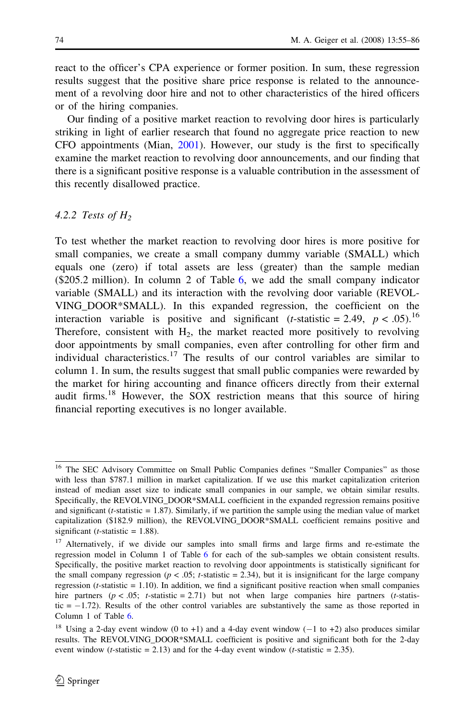react to the officer's CPA experience or former position. In sum, these regression results suggest that the positive share price response is related to the announcement of a revolving door hire and not to other characteristics of the hired officers or of the hiring companies.

Our finding of a positive market reaction to revolving door hires is particularly striking in light of earlier research that found no aggregate price reaction to new CFO appointments (Mian, [2001\)](#page-31-0). However, our study is the first to specifically examine the market reaction to revolving door announcements, and our finding that there is a significant positive response is a valuable contribution in the assessment of this recently disallowed practice.

# 4.2.2 Tests of  $H<sub>2</sub>$

To test whether the market reaction to revolving door hires is more positive for small companies, we create a small company dummy variable (SMALL) which equals one (zero) if total assets are less (greater) than the sample median (\$205.2 million). In column 2 of Table [6,](#page-18-0) we add the small company indicator variable (SMALL) and its interaction with the revolving door variable (REVOL-VING\_DOOR\*SMALL). In this expanded regression, the coefficient on the interaction variable is positive and significant (*t*-statistic = 2.49,  $p < .05$ ).<sup>16</sup> Therefore, consistent with  $H_2$ , the market reacted more positively to revolving door appointments by small companies, even after controlling for other firm and individual characteristics.<sup>17</sup> The results of our control variables are similar to column 1. In sum, the results suggest that small public companies were rewarded by the market for hiring accounting and finance officers directly from their external audit firms.<sup>18</sup> However, the SOX restriction means that this source of hiring financial reporting executives is no longer available.

<sup>&</sup>lt;sup>16</sup> The SEC Advisory Committee on Small Public Companies defines "Smaller Companies" as those with less than \$787.1 million in market capitalization. If we use this market capitalization criterion instead of median asset size to indicate small companies in our sample, we obtain similar results. Specifically, the REVOLVING\_DOOR\*SMALL coefficient in the expanded regression remains positive and significant ( $t$ -statistic = 1.87). Similarly, if we partition the sample using the median value of market capitalization (\$182.9 million), the REVOLVING\_DOOR\*SMALL coefficient remains positive and significant (*t*-statistic  $= 1.88$ ).

<sup>&</sup>lt;sup>17</sup> Alternatively, if we divide our samples into small firms and large firms and re-estimate the regression model in Column 1 of Table [6](#page-18-0) for each of the sub-samples we obtain consistent results. Specifically, the positive market reaction to revolving door appointments is statistically significant for the small company regression ( $p < .05$ ; t-statistic = 2.34), but it is insignificant for the large company regression ( $t$ -statistic = 1.10). In addition, we find a significant positive reaction when small companies hire partners ( $p < .05$ ; t-statistic = 2.71) but not when large companies hire partners (t-statistic  $= -1.72$ ). Results of the other control variables are substantively the same as those reported in Column 1 of Table [6.](#page-18-0)

<sup>&</sup>lt;sup>18</sup> Using a 2-day event window (0 to +1) and a 4-day event window ( $-1$  to +2) also produces similar results. The REVOLVING\_DOOR\*SMALL coefficient is positive and significant both for the 2-day event window (*t*-statistic = 2.13) and for the 4-day event window (*t*-statistic = 2.35).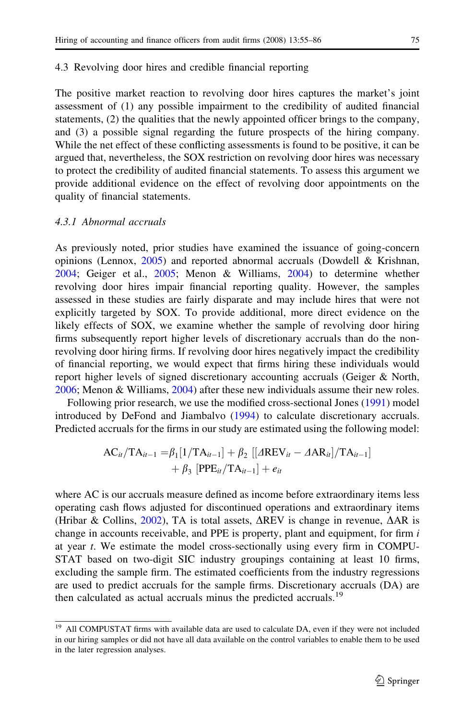#### 4.3 Revolving door hires and credible financial reporting

The positive market reaction to revolving door hires captures the market's joint assessment of (1) any possible impairment to the credibility of audited financial statements, (2) the qualities that the newly appointed officer brings to the company, and (3) a possible signal regarding the future prospects of the hiring company. While the net effect of these conflicting assessments is found to be positive, it can be argued that, nevertheless, the SOX restriction on revolving door hires was necessary to protect the credibility of audited financial statements. To assess this argument we provide additional evidence on the effect of revolving door appointments on the quality of financial statements.

# 4.3.1 Abnormal accruals

As previously noted, prior studies have examined the issuance of going-concern opinions (Lennox, [2005\)](#page-31-0) and reported abnormal accruals (Dowdell & Krishnan, [2004;](#page-30-0) Geiger et al., [2005;](#page-31-0) Menon & Williams, [2004](#page-31-0)) to determine whether revolving door hires impair financial reporting quality. However, the samples assessed in these studies are fairly disparate and may include hires that were not explicitly targeted by SOX. To provide additional, more direct evidence on the likely effects of SOX, we examine whether the sample of revolving door hiring firms subsequently report higher levels of discretionary accruals than do the nonrevolving door hiring firms. If revolving door hires negatively impact the credibility of financial reporting, we would expect that firms hiring these individuals would report higher levels of signed discretionary accounting accruals (Geiger & North, [2006;](#page-31-0) Menon & Williams, [2004\)](#page-31-0) after these new individuals assume their new roles.

Following prior research, we use the modified cross-sectional Jones ([1991\)](#page-31-0) model introduced by DeFond and Jiambalvo ([1994\)](#page-30-0) to calculate discretionary accruals. Predicted accruals for the firms in our study are estimated using the following model:

$$
AC_{it}/TA_{it-1} = \beta_1[1/TA_{it-1}] + \beta_2 [[AREV_{it} - AAR_{it}]/TA_{it-1}] + \beta_3 [PPE_{it}/TA_{it-1}] + e_{it}
$$

where AC is our accruals measure defined as income before extraordinary items less operating cash flows adjusted for discontinued operations and extraordinary items (Hribar & Collins, [2002](#page-31-0)), TA is total assets,  $\Delta$ REV is change in revenue,  $\Delta$ AR is change in accounts receivable, and PPE is property, plant and equipment, for firm  $i$ at year t. We estimate the model cross-sectionally using every firm in COMPU-STAT based on two-digit SIC industry groupings containing at least 10 firms, excluding the sample firm. The estimated coefficients from the industry regressions are used to predict accruals for the sample firms. Discretionary accruals (DA) are then calculated as actual accruals minus the predicted accruals.<sup>19</sup>

<sup>&</sup>lt;sup>19</sup> All COMPUSTAT firms with available data are used to calculate DA, even if they were not included in our hiring samples or did not have all data available on the control variables to enable them to be used in the later regression analyses.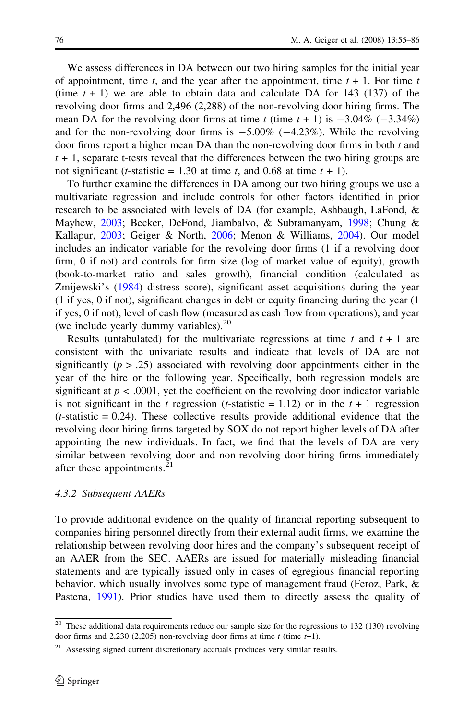We assess differences in DA between our two hiring samples for the initial year of appointment, time t, and the year after the appointment, time  $t + 1$ . For time t (time  $t + 1$ ) we are able to obtain data and calculate DA for 143 (137) of the revolving door firms and 2,496 (2,288) of the non-revolving door hiring firms. The mean DA for the revolving door firms at time t (time  $t + 1$ ) is  $-3.04\%$  ( $-3.34\%$ ) and for the non-revolving door firms is  $-5.00\%$  ( $-4.23\%$ ). While the revolving door firms report a higher mean DA than the non-revolving door firms in both t and  $t + 1$ , separate t-tests reveal that the differences between the two hiring groups are not significant (*t*-statistic = 1.30 at time *t*, and 0.68 at time  $t + 1$ ).

To further examine the differences in DA among our two hiring groups we use a multivariate regression and include controls for other factors identified in prior research to be associated with levels of DA (for example, Ashbaugh, LaFond, & Mayhew, [2003](#page-30-0); Becker, DeFond, Jiambalvo, & Subramanyam, [1998;](#page-30-0) Chung & Kallapur, [2003](#page-30-0); Geiger & North, [2006;](#page-31-0) Menon & Williams, [2004\)](#page-31-0). Our model includes an indicator variable for the revolving door firms (1 if a revolving door firm, 0 if not) and controls for firm size (log of market value of equity), growth (book-to-market ratio and sales growth), financial condition (calculated as Zmijewski's ([1984\)](#page-31-0) distress score), significant asset acquisitions during the year (1 if yes, 0 if not), significant changes in debt or equity financing during the year (1 if yes, 0 if not), level of cash flow (measured as cash flow from operations), and year (we include yearly dummy variables).<sup>20</sup>

Results (untabulated) for the multivariate regressions at time t and  $t + 1$  are consistent with the univariate results and indicate that levels of DA are not significantly ( $p > .25$ ) associated with revolving door appointments either in the year of the hire or the following year. Specifically, both regression models are significant at  $p < .0001$ , yet the coefficient on the revolving door indicator variable is not significant in the t regression (t-statistic = 1.12) or in the  $t + 1$  regression  $(t$ -statistic = 0.24). These collective results provide additional evidence that the revolving door hiring firms targeted by SOX do not report higher levels of DA after appointing the new individuals. In fact, we find that the levels of DA are very similar between revolving door and non-revolving door hiring firms immediately after these appointments.<sup>21</sup>

#### 4.3.2 Subsequent AAERs

To provide additional evidence on the quality of financial reporting subsequent to companies hiring personnel directly from their external audit firms, we examine the relationship between revolving door hires and the company's subsequent receipt of an AAER from the SEC. AAERs are issued for materially misleading financial statements and are typically issued only in cases of egregious financial reporting behavior, which usually involves some type of management fraud (Feroz, Park, & Pastena, [1991](#page-30-0)). Prior studies have used them to directly assess the quality of

 $20$  These additional data requirements reduce our sample size for the regressions to 132 (130) revolving door firms and 2,230 (2,205) non-revolving door firms at time  $t$  (time  $t+1$ ).

<sup>&</sup>lt;sup>21</sup> Assessing signed current discretionary accruals produces very similar results.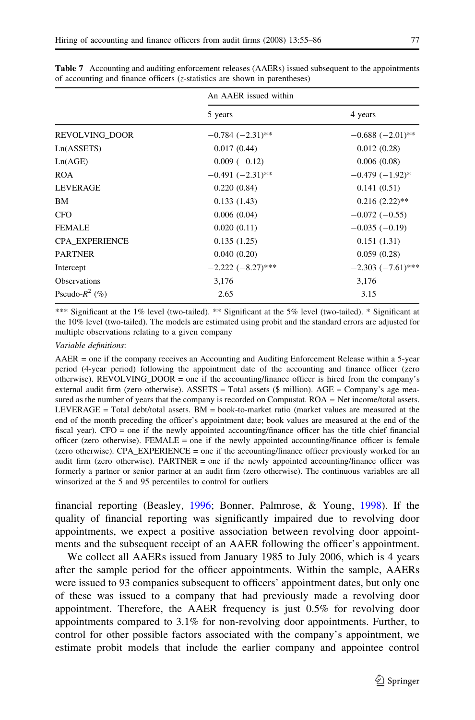|                       | An AAER issued within |                     |
|-----------------------|-----------------------|---------------------|
|                       | 5 years               | 4 years             |
| REVOLVING_DOOR        | $-0.784 (-2.31)$ **   | $-0.688(-2.01)$ **  |
| Ln(ASSETS)            | 0.017(0.44)           | 0.012(0.28)         |
| Ln(AGE)               | $-0.009(-0.12)$       | 0.006(0.08)         |
| <b>ROA</b>            | $-0.491(-2.31)$ **    | $-0.479(-1.92)$ *   |
| LEVERAGE              | 0.220(0.84)           | 0.141(0.51)         |
| BM                    | 0.133(1.43)           | $0.216(2.22)$ **    |
| <b>CFO</b>            | 0.006(0.04)           | $-0.072(-0.55)$     |
| <b>FEMALE</b>         | 0.020(0.11)           | $-0.035(-0.19)$     |
| <b>CPA EXPERIENCE</b> | 0.135(1.25)           | 0.151(1.31)         |
| <b>PARTNER</b>        | 0.040(0.20)           | 0.059(0.28)         |
| Intercept             | $-2.222(-8.27)$ ***   | $-2.303(-7.61)$ *** |
| <b>Observations</b>   | 3,176                 | 3,176               |
| Pseudo- $R^2$ (%)     | 2.65                  | 3.15                |

<span id="page-22-0"></span>Table 7 Accounting and auditing enforcement releases (AAERs) issued subsequent to the appointments of accounting and finance officers (z-statistics are shown in parentheses)

\*\*\* Significant at the 1% level (two-tailed). \*\* Significant at the 5% level (two-tailed). \* Significant at the 10% level (two-tailed). The models are estimated using probit and the standard errors are adjusted for multiple observations relating to a given company

#### Variable definitions:

AAER = one if the company receives an Accounting and Auditing Enforcement Release within a 5-year period (4-year period) following the appointment date of the accounting and finance officer (zero otherwise). REVOLVING\_DOOR = one if the accounting/finance officer is hired from the company's external audit firm (zero otherwise). ASSETS = Total assets  $(\$$  million). AGE = Company's age measured as the number of years that the company is recorded on Compustat. ROA = Net income/total assets. LEVERAGE = Total debt/total assets. BM = book-to-market ratio (market values are measured at the end of the month preceding the officer's appointment date; book values are measured at the end of the fiscal year). CFO = one if the newly appointed accounting/finance officer has the title chief financial officer (zero otherwise). FEMALE = one if the newly appointed accounting/finance officer is female (zero otherwise). CPA\_EXPERIENCE = one if the accounting/finance officer previously worked for an audit firm (zero otherwise). PARTNER = one if the newly appointed accounting/finance officer was formerly a partner or senior partner at an audit firm (zero otherwise). The continuous variables are all winsorized at the 5 and 95 percentiles to control for outliers

financial reporting (Beasley, [1996](#page-30-0); Bonner, Palmrose, & Young, [1998](#page-30-0)). If the quality of financial reporting was significantly impaired due to revolving door appointments, we expect a positive association between revolving door appointments and the subsequent receipt of an AAER following the officer's appointment.

We collect all AAERs issued from January 1985 to July 2006, which is 4 years after the sample period for the officer appointments. Within the sample, AAERs were issued to 93 companies subsequent to officers' appointment dates, but only one of these was issued to a company that had previously made a revolving door appointment. Therefore, the AAER frequency is just 0.5% for revolving door appointments compared to 3.1% for non-revolving door appointments. Further, to control for other possible factors associated with the company's appointment, we estimate probit models that include the earlier company and appointee control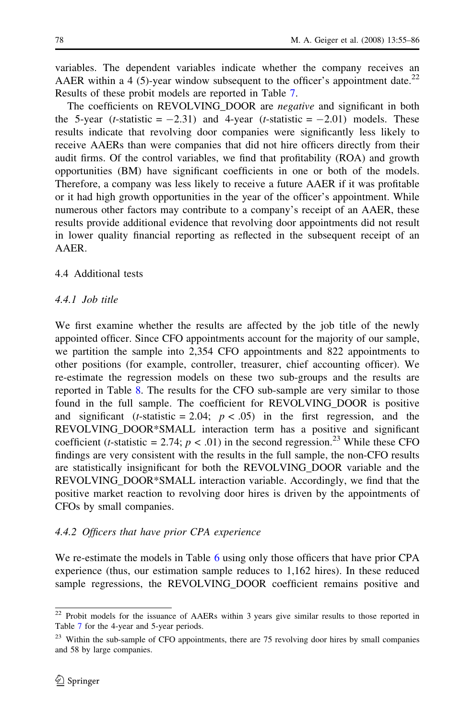variables. The dependent variables indicate whether the company receives an AAER within a 4 (5)-year window subsequent to the officer's appointment date.<sup>22</sup> Results of these probit models are reported in Table [7](#page-22-0).

The coefficients on REVOLVING DOOR are *negative* and significant in both the 5-year (*t*-statistic =  $-2.31$ ) and 4-year (*t*-statistic =  $-2.01$ ) models. These results indicate that revolving door companies were significantly less likely to receive AAERs than were companies that did not hire officers directly from their audit firms. Of the control variables, we find that profitability (ROA) and growth opportunities (BM) have significant coefficients in one or both of the models. Therefore, a company was less likely to receive a future AAER if it was profitable or it had high growth opportunities in the year of the officer's appointment. While numerous other factors may contribute to a company's receipt of an AAER, these results provide additional evidence that revolving door appointments did not result in lower quality financial reporting as reflected in the subsequent receipt of an AAER.

# 4.4 Additional tests

# 4.4.1 Job title

We first examine whether the results are affected by the job title of the newly appointed officer. Since CFO appointments account for the majority of our sample, we partition the sample into 2,354 CFO appointments and 822 appointments to other positions (for example, controller, treasurer, chief accounting officer). We re-estimate the regression models on these two sub-groups and the results are reported in Table [8](#page-24-0). The results for the CFO sub-sample are very similar to those found in the full sample. The coefficient for REVOLVING\_DOOR is positive and significant (*t*-statistic = 2.04;  $p < .05$ ) in the first regression, and the REVOLVING\_DOOR\*SMALL interaction term has a positive and significant coefficient (*t*-statistic = 2.74;  $p < .01$ ) in the second regression.<sup>23</sup> While these CFO findings are very consistent with the results in the full sample, the non-CFO results are statistically insignificant for both the REVOLVING\_DOOR variable and the REVOLVING\_DOOR\*SMALL interaction variable. Accordingly, we find that the positive market reaction to revolving door hires is driven by the appointments of CFOs by small companies.

# 4.4.2 Officers that have prior CPA experience

We re-estimate the models in Table [6](#page-18-0) using only those officers that have prior CPA experience (thus, our estimation sample reduces to 1,162 hires). In these reduced sample regressions, the REVOLVING\_DOOR coefficient remains positive and

<sup>&</sup>lt;sup>22</sup> Probit models for the issuance of AAERs within 3 years give similar results to those reported in Table [7](#page-22-0) for the 4-year and 5-year periods.

<sup>&</sup>lt;sup>23</sup> Within the sub-sample of CFO appointments, there are 75 revolving door hires by small companies and 58 by large companies.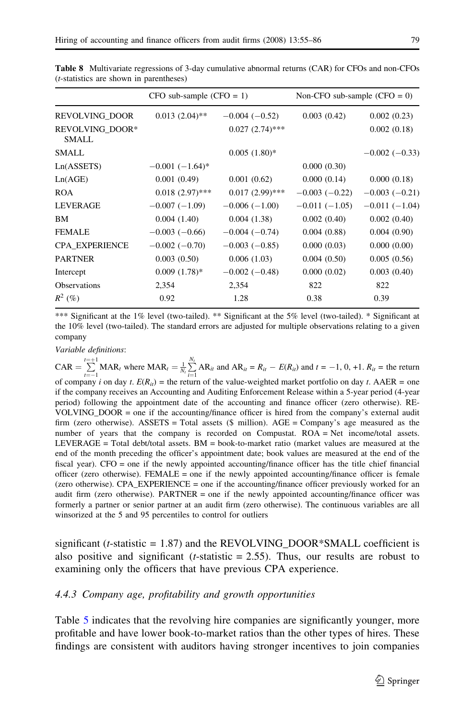|                          | $CFO$ sub-sample $(CFO = 1)$ |                   | Non-CFO sub-sample $(CFO = 0)$ |                 |
|--------------------------|------------------------------|-------------------|--------------------------------|-----------------|
| REVOLVING DOOR           | $0.013(2.04)$ **             | $-0.004(-0.52)$   | 0.003(0.42)                    | 0.002(0.23)     |
| REVOLVING DOOR*<br>SMALL |                              | $0.027(2.74)$ *** |                                | 0.002(0.18)     |
| SMALL.                   |                              | $0.005(1.80)$ *   |                                | $-0.002(-0.33)$ |
| Ln(ASSETS)               | $-0.001(-1.64)$ *            |                   | 0.000(0.30)                    |                 |
| Ln(AGE)                  | 0.001(0.49)                  | 0.001(0.62)       | 0.000(0.14)                    | 0.000(0.18)     |
| <b>ROA</b>               | $0.018(2.97)$ ***            | $0.017(2.99)$ *** | $-0.003(-0.22)$                | $-0.003(-0.21)$ |
| <b>LEVERAGE</b>          | $-0.007(-1.09)$              | $-0.006(-1.00)$   | $-0.011(-1.05)$                | $-0.011(-1.04)$ |
| <b>BM</b>                | 0.004(1.40)                  | 0.004(1.38)       | 0.002(0.40)                    | 0.002(0.40)     |
| <b>FEMALE</b>            | $-0.003(-0.66)$              | $-0.004(-0.74)$   | 0.004(0.88)                    | 0.004(0.90)     |
| CPA EXPERIENCE           | $-0.002(-0.70)$              | $-0.003(-0.85)$   | 0.000(0.03)                    | 0.000(0.00)     |
| <b>PARTNER</b>           | 0.003(0.50)                  | 0.006(1.03)       | 0.004(0.50)                    | 0.005(0.56)     |
| Intercept                | $0.009(1.78)$ *              | $-0.002(-0.48)$   | 0.000(0.02)                    | 0.003(0.40)     |
| <b>Observations</b>      | 2,354                        | 2,354             | 822                            | 822             |
| $R^2$ (%)                | 0.92                         | 1.28              | 0.38                           | 0.39            |

<span id="page-24-0"></span>Table 8 Multivariate regressions of 3-day cumulative abnormal returns (CAR) for CFOs and non-CFOs (t-statistics are shown in parentheses)

\*\*\* Significant at the 1% level (two-tailed). \*\* Significant at the 5% level (two-tailed). \* Significant at the 10% level (two-tailed). The standard errors are adjusted for multiple observations relating to a given company

Variable definitions:

 $CAR = \sum_{i=+1}^{t=+1}$  $\sum_{t=-1}^{t=+1}$  MAR<sub>t</sub> where MAR<sub>t</sub> =  $\frac{1}{N_t} \sum_{i=1}^{N_t}$  $\sum_{i=1}$  AR<sub>it</sub> and AR<sub>it</sub> = R<sub>it</sub> – E(R<sub>it</sub>) and t = -1, 0, +1. R<sub>it</sub> = the return of company i on day t.  $E(R_{ii})$  = the return of the value-weighted market portfolio on day t. AAER = one if the company receives an Accounting and Auditing Enforcement Release within a 5-year period (4-year period) following the appointment date of the accounting and finance officer (zero otherwise). RE-VOLVING\_DOOR = one if the accounting/finance officer is hired from the company's external audit firm (zero otherwise). ASSETS = Total assets (\$ million). AGE = Company's age measured as the number of years that the company is recorded on Compustat. ROA = Net income/total assets. LEVERAGE = Total debt/total assets. BM = book-to-market ratio (market values are measured at the end of the month preceding the officer's appointment date; book values are measured at the end of the fiscal year). CFO = one if the newly appointed accounting/finance officer has the title chief financial officer (zero otherwise). FEMALE = one if the newly appointed accounting/finance officer is female (zero otherwise). CPA\_EXPERIENCE = one if the accounting/finance officer previously worked for an audit firm (zero otherwise). PARTNER = one if the newly appointed accounting/finance officer was formerly a partner or senior partner at an audit firm (zero otherwise). The continuous variables are all winsorized at the 5 and 95 percentiles to control for outliers

significant ( $t$ -statistic = 1.87) and the REVOLVING\_DOOR\*SMALL coefficient is also positive and significant ( $t$ -statistic = 2.55). Thus, our results are robust to examining only the officers that have previous CPA experience.

# 4.4.3 Company age, profitability and growth opportunities

Table [5](#page-17-0) indicates that the revolving hire companies are significantly younger, more profitable and have lower book-to-market ratios than the other types of hires. These findings are consistent with auditors having stronger incentives to join companies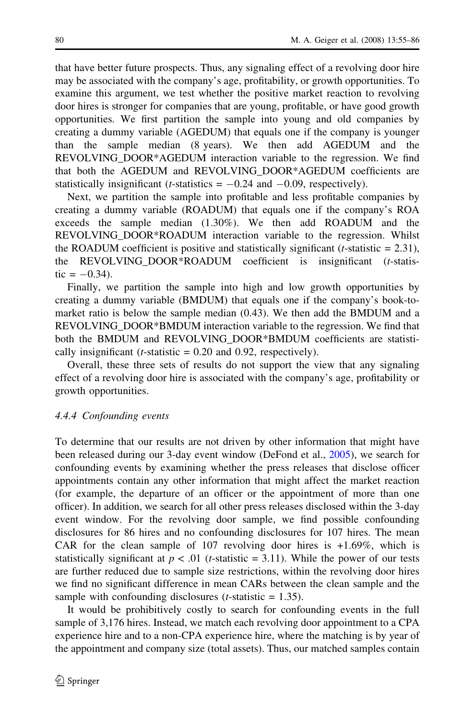that have better future prospects. Thus, any signaling effect of a revolving door hire may be associated with the company's age, profitability, or growth opportunities. To examine this argument, we test whether the positive market reaction to revolving door hires is stronger for companies that are young, profitable, or have good growth opportunities. We first partition the sample into young and old companies by creating a dummy variable (AGEDUM) that equals one if the company is younger than the sample median (8 years). We then add AGEDUM and the REVOLVING\_DOOR\*AGEDUM interaction variable to the regression. We find that both the AGEDUM and REVOLVING\_DOOR\*AGEDUM coefficients are statistically insignificant (*t*-statistics  $= -0.24$  and  $-0.09$ , respectively).

Next, we partition the sample into profitable and less profitable companies by creating a dummy variable (ROADUM) that equals one if the company's ROA exceeds the sample median (1.30%). We then add ROADUM and the REVOLVING\_DOOR\*ROADUM interaction variable to the regression. Whilst the ROADUM coefficient is positive and statistically significant (*t*-statistic  $= 2.31$ ), the REVOLVING\_DOOR\*ROADUM coefficient is insignificant (t-statistic =  $-0.34$ ).

Finally, we partition the sample into high and low growth opportunities by creating a dummy variable (BMDUM) that equals one if the company's book-tomarket ratio is below the sample median (0.43). We then add the BMDUM and a REVOLVING\_DOOR\*BMDUM interaction variable to the regression. We find that both the BMDUM and REVOLVING\_DOOR\*BMDUM coefficients are statistically insignificant (*t*-statistic  $= 0.20$  and 0.92, respectively).

Overall, these three sets of results do not support the view that any signaling effect of a revolving door hire is associated with the company's age, profitability or growth opportunities.

# 4.4.4 Confounding events

To determine that our results are not driven by other information that might have been released during our 3-day event window (DeFond et al., [2005\)](#page-30-0), we search for confounding events by examining whether the press releases that disclose officer appointments contain any other information that might affect the market reaction (for example, the departure of an officer or the appointment of more than one officer). In addition, we search for all other press releases disclosed within the 3-day event window. For the revolving door sample, we find possible confounding disclosures for 86 hires and no confounding disclosures for 107 hires. The mean CAR for the clean sample of 107 revolving door hires is +1.69%, which is statistically significant at  $p < .01$  (*t*-statistic = 3.11). While the power of our tests are further reduced due to sample size restrictions, within the revolving door hires we find no significant difference in mean CARs between the clean sample and the sample with confounding disclosures ( $t$ -statistic = 1.35).

It would be prohibitively costly to search for confounding events in the full sample of 3,176 hires. Instead, we match each revolving door appointment to a CPA experience hire and to a non-CPA experience hire, where the matching is by year of the appointment and company size (total assets). Thus, our matched samples contain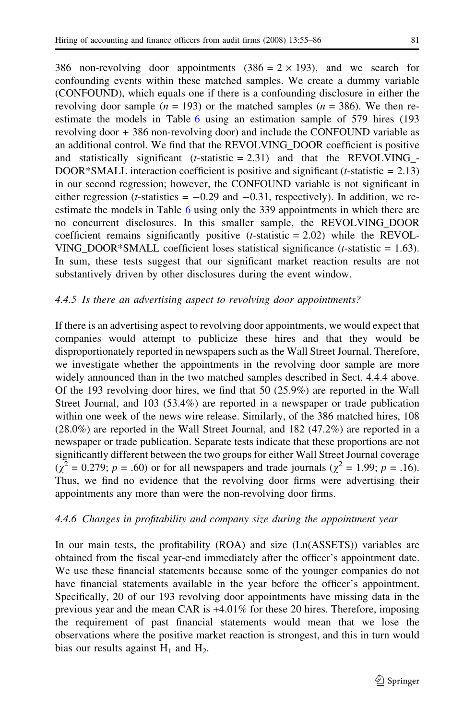386 non-revolving door appointments  $(386 = 2 \times 193)$ , and we search for confounding events within these matched samples. We create a dummy variable (CONFOUND), which equals one if there is a confounding disclosure in either the revolving door sample ( $n = 193$ ) or the matched samples ( $n = 386$ ). We then reestimate the models in Table [6](#page-18-0) using an estimation sample of 579 hires (193 revolving door + 386 non-revolving door) and include the CONFOUND variable as an additional control. We find that the REVOLVING\_DOOR coefficient is positive and statistically significant ( $t$ -statistic = 2.31) and that the REVOLVING - $DOOR*SMALL$  interaction coefficient is positive and significant ( $t$ -statistic = 2.13) in our second regression; however, the CONFOUND variable is not significant in either regression (*t*-statistics  $= -0.29$  and  $-0.31$ , respectively). In addition, we reestimate the models in Table [6](#page-18-0) using only the 339 appointments in which there are no concurrent disclosures. In this smaller sample, the REVOLVING\_DOOR coefficient remains significantly positive  $(t\text{-statistic} = 2.02)$  while the REVOL-VING\_DOOR\*SMALL coefficient loses statistical significance ( $t$ -statistic = 1.63). In sum, these tests suggest that our significant market reaction results are not substantively driven by other disclosures during the event window.

# 4.4.5 Is there an advertising aspect to revolving door appointments?

If there is an advertising aspect to revolving door appointments, we would expect that companies would attempt to publicize these hires and that they would be disproportionately reported in newspapers such as the Wall Street Journal. Therefore, we investigate whether the appointments in the revolving door sample are more widely announced than in the two matched samples described in Sect. 4.4.4 above. Of the 193 revolving door hires, we find that 50 (25.9%) are reported in the Wall Street Journal, and 103 (53.4%) are reported in a newspaper or trade publication within one week of the news wire release. Similarly, of the 386 matched hires, 108 (28.0%) are reported in the Wall Street Journal, and 182 (47.2%) are reported in a newspaper or trade publication. Separate tests indicate that these proportions are not significantly different between the two groups for either Wall Street Journal coverage  $(\chi^2 = 0.279; p = .60)$  or for all newspapers and trade journals  $(\chi^2 = 1.99; p = .16)$ . Thus, we find no evidence that the revolving door firms were advertising their appointments any more than were the non-revolving door firms.

# 4.4.6 Changes in profitability and company size during the appointment year

In our main tests, the profitability (ROA) and size (Ln(ASSETS)) variables are obtained from the fiscal year-end immediately after the officer's appointment date. We use these financial statements because some of the younger companies do not have financial statements available in the year before the officer's appointment. Specifically, 20 of our 193 revolving door appointments have missing data in the previous year and the mean CAR is +4.01% for these 20 hires. Therefore, imposing the requirement of past financial statements would mean that we lose the observations where the positive market reaction is strongest, and this in turn would bias our results against  $H_1$  and  $H_2$ .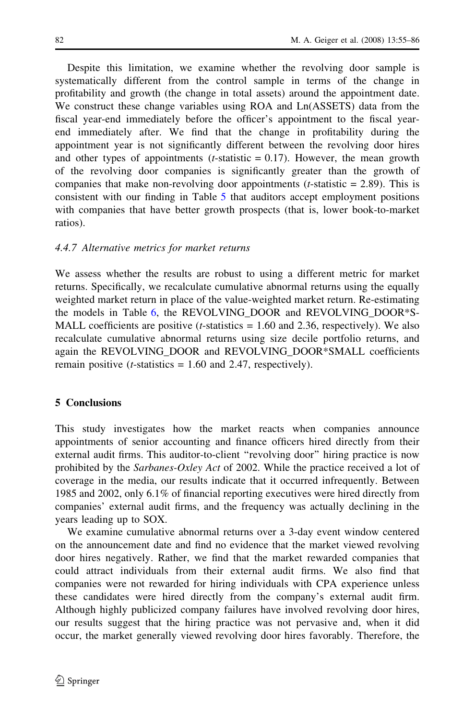Despite this limitation, we examine whether the revolving door sample is systematically different from the control sample in terms of the change in profitability and growth (the change in total assets) around the appointment date. We construct these change variables using ROA and Ln(ASSETS) data from the fiscal year-end immediately before the officer's appointment to the fiscal yearend immediately after. We find that the change in profitability during the appointment year is not significantly different between the revolving door hires and other types of appointments ( $t$ -statistic = 0.17). However, the mean growth of the revolving door companies is significantly greater than the growth of companies that make non-revolving door appointments  $(t\text{-statistic} = 2.89)$ . This is consistent with our finding in Table [5](#page-17-0) that auditors accept employment positions with companies that have better growth prospects (that is, lower book-to-market ratios).

# 4.4.7 Alternative metrics for market returns

We assess whether the results are robust to using a different metric for market returns. Specifically, we recalculate cumulative abnormal returns using the equally weighted market return in place of the value-weighted market return. Re-estimating the models in Table [6,](#page-18-0) the REVOLVING\_DOOR and REVOLVING\_DOOR\*S-MALL coefficients are positive  $(t\text{-statistics} = 1.60 \text{ and } 2.36, \text{ respectively})$ . We also recalculate cumulative abnormal returns using size decile portfolio returns, and again the REVOLVING\_DOOR and REVOLVING\_DOOR\*SMALL coefficients remain positive (*t*-statistics  $= 1.60$  and 2.47, respectively).

# 5 Conclusions

This study investigates how the market reacts when companies announce appointments of senior accounting and finance officers hired directly from their external audit firms. This auditor-to-client ''revolving door'' hiring practice is now prohibited by the *Sarbanes-Oxley Act* of 2002. While the practice received a lot of coverage in the media, our results indicate that it occurred infrequently. Between 1985 and 2002, only 6.1% of financial reporting executives were hired directly from companies' external audit firms, and the frequency was actually declining in the years leading up to SOX.

We examine cumulative abnormal returns over a 3-day event window centered on the announcement date and find no evidence that the market viewed revolving door hires negatively. Rather, we find that the market rewarded companies that could attract individuals from their external audit firms. We also find that companies were not rewarded for hiring individuals with CPA experience unless these candidates were hired directly from the company's external audit firm. Although highly publicized company failures have involved revolving door hires, our results suggest that the hiring practice was not pervasive and, when it did occur, the market generally viewed revolving door hires favorably. Therefore, the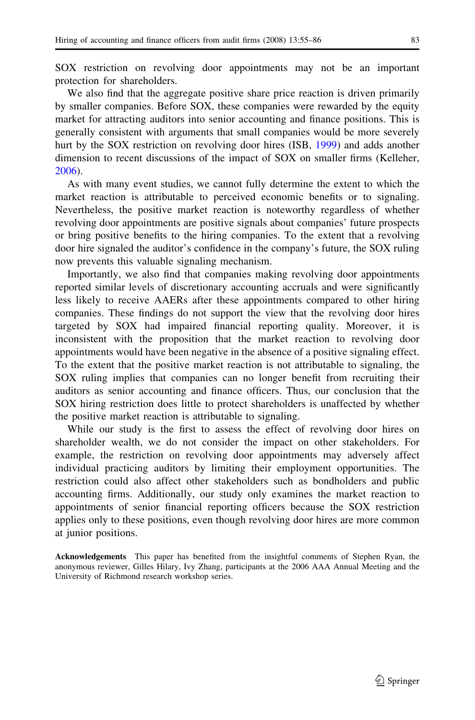SOX restriction on revolving door appointments may not be an important protection for shareholders.

We also find that the aggregate positive share price reaction is driven primarily by smaller companies. Before SOX, these companies were rewarded by the equity market for attracting auditors into senior accounting and finance positions. This is generally consistent with arguments that small companies would be more severely hurt by the SOX restriction on revolving door hires (ISB, [1999\)](#page-31-0) and adds another dimension to recent discussions of the impact of SOX on smaller firms (Kelleher, [2006\)](#page-31-0).

As with many event studies, we cannot fully determine the extent to which the market reaction is attributable to perceived economic benefits or to signaling. Nevertheless, the positive market reaction is noteworthy regardless of whether revolving door appointments are positive signals about companies' future prospects or bring positive benefits to the hiring companies. To the extent that a revolving door hire signaled the auditor's confidence in the company's future, the SOX ruling now prevents this valuable signaling mechanism.

Importantly, we also find that companies making revolving door appointments reported similar levels of discretionary accounting accruals and were significantly less likely to receive AAERs after these appointments compared to other hiring companies. These findings do not support the view that the revolving door hires targeted by SOX had impaired financial reporting quality. Moreover, it is inconsistent with the proposition that the market reaction to revolving door appointments would have been negative in the absence of a positive signaling effect. To the extent that the positive market reaction is not attributable to signaling, the SOX ruling implies that companies can no longer benefit from recruiting their auditors as senior accounting and finance officers. Thus, our conclusion that the SOX hiring restriction does little to protect shareholders is unaffected by whether the positive market reaction is attributable to signaling.

While our study is the first to assess the effect of revolving door hires on shareholder wealth, we do not consider the impact on other stakeholders. For example, the restriction on revolving door appointments may adversely affect individual practicing auditors by limiting their employment opportunities. The restriction could also affect other stakeholders such as bondholders and public accounting firms. Additionally, our study only examines the market reaction to appointments of senior financial reporting officers because the SOX restriction applies only to these positions, even though revolving door hires are more common at junior positions.

Acknowledgements This paper has benefited from the insightful comments of Stephen Ryan, the anonymous reviewer, Gilles Hilary, Ivy Zhang, participants at the 2006 AAA Annual Meeting and the University of Richmond research workshop series.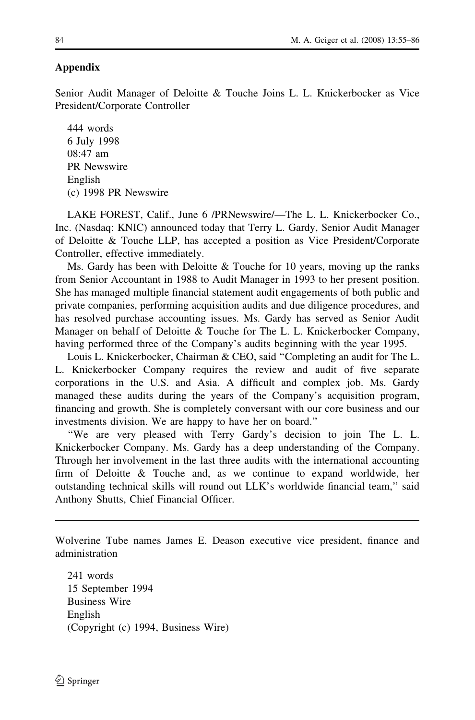# Appendix

Senior Audit Manager of Deloitte & Touche Joins L. L. Knickerbocker as Vice President/Corporate Controller

444 words 6 July 1998 08:47 am PR Newswire English (c) 1998 PR Newswire

LAKE FOREST, Calif., June 6 /PRNewswire/—The L. L. Knickerbocker Co., Inc. (Nasdaq: KNIC) announced today that Terry L. Gardy, Senior Audit Manager of Deloitte & Touche LLP, has accepted a position as Vice President/Corporate Controller, effective immediately.

Ms. Gardy has been with Deloitte & Touche for 10 years, moving up the ranks from Senior Accountant in 1988 to Audit Manager in 1993 to her present position. She has managed multiple financial statement audit engagements of both public and private companies, performing acquisition audits and due diligence procedures, and has resolved purchase accounting issues. Ms. Gardy has served as Senior Audit Manager on behalf of Deloitte & Touche for The L. L. Knickerbocker Company, having performed three of the Company's audits beginning with the year 1995.

Louis L. Knickerbocker, Chairman & CEO, said ''Completing an audit for The L. L. Knickerbocker Company requires the review and audit of five separate corporations in the U.S. and Asia. A difficult and complex job. Ms. Gardy managed these audits during the years of the Company's acquisition program, financing and growth. She is completely conversant with our core business and our investments division. We are happy to have her on board.''

''We are very pleased with Terry Gardy's decision to join The L. L. Knickerbocker Company. Ms. Gardy has a deep understanding of the Company. Through her involvement in the last three audits with the international accounting firm of Deloitte & Touche and, as we continue to expand worldwide, her outstanding technical skills will round out LLK's worldwide financial team,'' said Anthony Shutts, Chief Financial Officer.

Wolverine Tube names James E. Deason executive vice president, finance and administration

241 words 15 September 1994 Business Wire English (Copyright (c) 1994, Business Wire)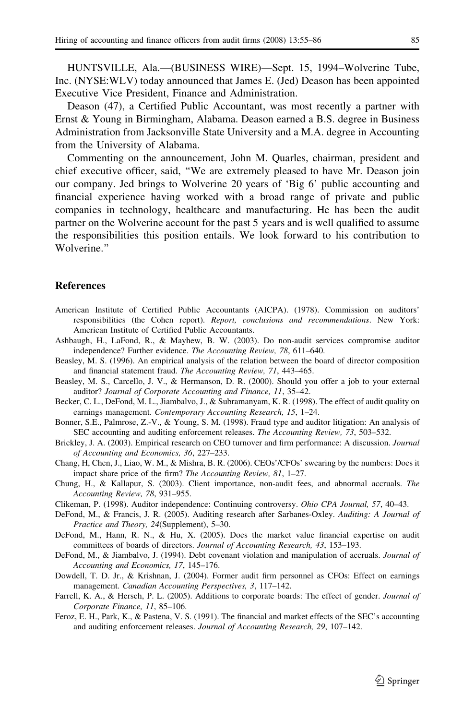<span id="page-30-0"></span>HUNTSVILLE, Ala.—(BUSINESS WIRE)—Sept. 15, 1994–Wolverine Tube, Inc. (NYSE:WLV) today announced that James E. (Jed) Deason has been appointed Executive Vice President, Finance and Administration.

Deason (47), a Certified Public Accountant, was most recently a partner with Ernst & Young in Birmingham, Alabama. Deason earned a B.S. degree in Business Administration from Jacksonville State University and a M.A. degree in Accounting from the University of Alabama.

Commenting on the announcement, John M. Quarles, chairman, president and chief executive officer, said, ''We are extremely pleased to have Mr. Deason join our company. Jed brings to Wolverine 20 years of 'Big 6' public accounting and financial experience having worked with a broad range of private and public companies in technology, healthcare and manufacturing. He has been the audit partner on the Wolverine account for the past 5 years and is well qualified to assume the responsibilities this position entails. We look forward to his contribution to Wolverine.''

## **References**

- American Institute of Certified Public Accountants (AICPA). (1978). Commission on auditors' responsibilities (the Cohen report). Report, conclusions and recommendations. New York: American Institute of Certified Public Accountants.
- Ashbaugh, H., LaFond, R., & Mayhew, B. W. (2003). Do non-audit services compromise auditor independence? Further evidence. The Accounting Review, 78, 611–640.
- Beasley, M. S. (1996). An empirical analysis of the relation between the board of director composition and financial statement fraud. The Accounting Review, 71, 443–465.
- Beasley, M. S., Carcello, J. V., & Hermanson, D. R. (2000). Should you offer a job to your external auditor? Journal of Corporate Accounting and Finance, 11, 35–42.
- Becker, C. L., DeFond, M. L., Jiambalvo, J., & Subramanyam, K. R. (1998). The effect of audit quality on earnings management. Contemporary Accounting Research, 15, 1–24.
- Bonner, S.E., Palmrose, Z.-V., & Young, S. M. (1998). Fraud type and auditor litigation: An analysis of SEC accounting and auditing enforcement releases. The Accounting Review, 73, 503–532.
- Brickley, J. A. (2003). Empirical research on CEO turnover and firm performance: A discussion. *Journal* of Accounting and Economics, 36, 227–233.
- Chang, H, Chen, J., Liao, W. M., & Mishra, B. R. (2006). CEOs'/CFOs' swearing by the numbers: Does it impact share price of the firm? The Accounting Review, 81, 1–27.
- Chung, H., & Kallapur, S. (2003). Client importance, non-audit fees, and abnormal accruals. The Accounting Review, 78, 931–955.
- Clikeman, P. (1998). Auditor independence: Continuing controversy. Ohio CPA Journal, 57, 40–43.
- DeFond, M., & Francis, J. R. (2005). Auditing research after Sarbanes-Oxley. Auditing: A Journal of Practice and Theory, 24(Supplement), 5–30.
- DeFond, M., Hann, R. N., & Hu, X. (2005). Does the market value financial expertise on audit committees of boards of directors. Journal of Accounting Research, 43, 153–193.
- DeFond, M., & Jiambalvo, J. (1994). Debt covenant violation and manipulation of accruals. Journal of Accounting and Economics, 17, 145–176.
- Dowdell, T. D. Jr., & Krishnan, J. (2004). Former audit firm personnel as CFOs: Effect on earnings management. Canadian Accounting Perspectives, 3, 117–142.
- Farrell, K. A., & Hersch, P. L. (2005). Additions to corporate boards: The effect of gender. Journal of Corporate Finance, 11, 85–106.
- Feroz, E. H., Park, K., & Pastena, V. S. (1991). The financial and market effects of the SEC's accounting and auditing enforcement releases. Journal of Accounting Research, 29, 107–142.